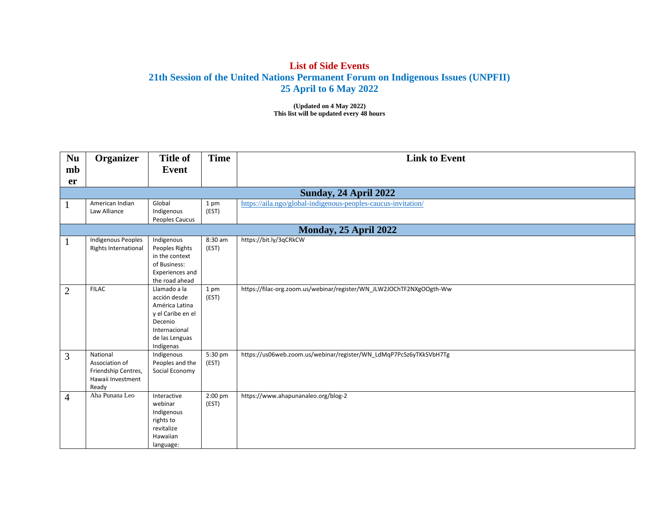## **List of Side Events 21th Session of the United Nations Permanent Forum on Indigenous Issues (UNPFII) 25 April to 6 May 2022**

**(Updated on 4 May 2022) This list will be updated every 48 hours**

| <b>Nu</b>      | Organizer                                                                       | <b>Title of</b>                                                                                                                | <b>Time</b>      | <b>Link to Event</b>                                                 |
|----------------|---------------------------------------------------------------------------------|--------------------------------------------------------------------------------------------------------------------------------|------------------|----------------------------------------------------------------------|
| mb             |                                                                                 | Event                                                                                                                          |                  |                                                                      |
| er             |                                                                                 |                                                                                                                                |                  |                                                                      |
|                |                                                                                 |                                                                                                                                |                  | Sunday, 24 April 2022                                                |
|                | American Indian<br>Law Alliance                                                 | Global<br>Indigenous<br>Peoples Caucus                                                                                         | 1 pm<br>(EST)    | https://aila.ngo/global-indigenous-peoples-caucus-invitation/        |
|                |                                                                                 |                                                                                                                                |                  | Monday, 25 April 2022                                                |
|                | Indigenous Peoples<br>Rights International                                      | Indigenous<br>Peoples Rights<br>in the context<br>of Business:<br>Experiences and<br>the road ahead                            | 8:30 am<br>(EST) | https://bit.ly/3qCRkCW                                               |
| $\overline{2}$ | <b>FILAC</b>                                                                    | Llamado a la<br>acción desde<br>América Latina<br>y el Caribe en el<br>Decenio<br>Internacional<br>de las Lenguas<br>Indígenas | 1 pm<br>(EST)    | https://filac-org.zoom.us/webinar/register/WN_JLW2JOChTF2NXgOOgth-Ww |
| 3              | National<br>Association of<br>Friendship Centres,<br>Hawaii Investment<br>Ready | Indigenous<br>Peoples and the<br>Social Economy                                                                                | 5:30 pm<br>(EST) | https://us06web.zoom.us/webinar/register/WN_LdMqP7PcSz6yTKkSVbH7Tg   |
| $\overline{4}$ | Aha Punana Leo                                                                  | Interactive<br>webinar<br>Indigenous<br>rights to<br>revitalize<br>Hawaiian<br>language:                                       | 2:00 pm<br>(EST) | https://www.ahapunanaleo.org/blog-2                                  |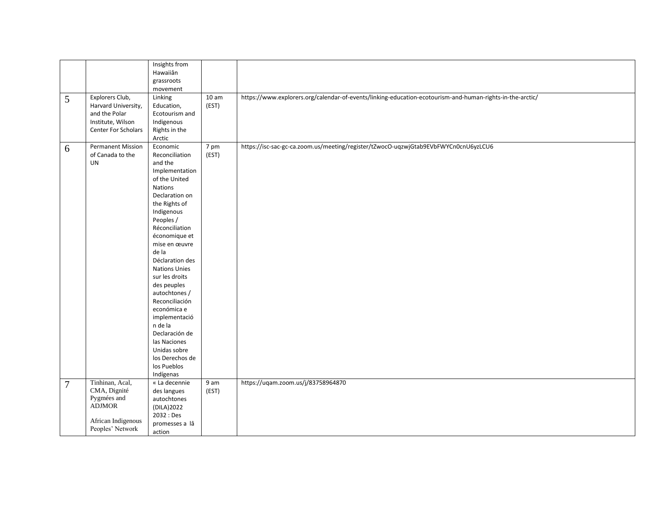|                |                          | Insights from        |       |                                                                                                           |
|----------------|--------------------------|----------------------|-------|-----------------------------------------------------------------------------------------------------------|
|                |                          | Hawaiiân             |       |                                                                                                           |
|                |                          | grassroots           |       |                                                                                                           |
|                |                          | movement             |       |                                                                                                           |
| 5              | Explorers Club,          | Linking              | 10 am | https://www.explorers.org/calendar-of-events/linking-education-ecotourism-and-human-rights-in-the-arctic/ |
|                | Harvard University,      | Education,           | (EST) |                                                                                                           |
|                | and the Polar            | Ecotourism and       |       |                                                                                                           |
|                | Institute, Wilson        | Indigenous           |       |                                                                                                           |
|                | Center For Scholars      | Rights in the        |       |                                                                                                           |
|                |                          | Arctic               |       |                                                                                                           |
|                |                          |                      |       |                                                                                                           |
| 6              | <b>Permanent Mission</b> | Economic             | 7 pm  | https://isc-sac-gc-ca.zoom.us/meeting/register/tZwocO-uqzwjGtab9EVbFWYCn0cnU6yzLCU6                       |
|                | of Canada to the         | Reconciliation       | (EST) |                                                                                                           |
|                | <b>UN</b>                | and the              |       |                                                                                                           |
|                |                          | Implementation       |       |                                                                                                           |
|                |                          | of the United        |       |                                                                                                           |
|                |                          | Nations              |       |                                                                                                           |
|                |                          | Declaration on       |       |                                                                                                           |
|                |                          | the Rights of        |       |                                                                                                           |
|                |                          | Indigenous           |       |                                                                                                           |
|                |                          | Peoples /            |       |                                                                                                           |
|                |                          | Réconciliation       |       |                                                                                                           |
|                |                          | économique et        |       |                                                                                                           |
|                |                          | mise en œuvre        |       |                                                                                                           |
|                |                          | de la                |       |                                                                                                           |
|                |                          | Déclaration des      |       |                                                                                                           |
|                |                          | <b>Nations Unies</b> |       |                                                                                                           |
|                |                          | sur les droits       |       |                                                                                                           |
|                |                          | des peuples          |       |                                                                                                           |
|                |                          | autochtones /        |       |                                                                                                           |
|                |                          | Reconciliación       |       |                                                                                                           |
|                |                          |                      |       |                                                                                                           |
|                |                          | económica e          |       |                                                                                                           |
|                |                          | implementació        |       |                                                                                                           |
|                |                          | n de la              |       |                                                                                                           |
|                |                          | Declaración de       |       |                                                                                                           |
|                |                          | las Naciones         |       |                                                                                                           |
|                |                          | Unidas sobre         |       |                                                                                                           |
|                |                          | los Derechos de      |       |                                                                                                           |
|                |                          | los Pueblos          |       |                                                                                                           |
|                |                          | Indígenas            |       |                                                                                                           |
| $\overline{7}$ | Tinhinan, Acal,          | « La decennie        | 9 am  | https://uqam.zoom.us/j/83758964870                                                                        |
|                | CMA, Dignité             | des langues          | (EST) |                                                                                                           |
|                | Pygmées and              | autochtones          |       |                                                                                                           |
|                | <b>ADJMOR</b>            | (DILA) 2022          |       |                                                                                                           |
|                |                          | 2032 : Des           |       |                                                                                                           |
|                | African Indigenous       | promesses a lâ       |       |                                                                                                           |
|                | Peoples' Network         | action               |       |                                                                                                           |
|                |                          |                      |       |                                                                                                           |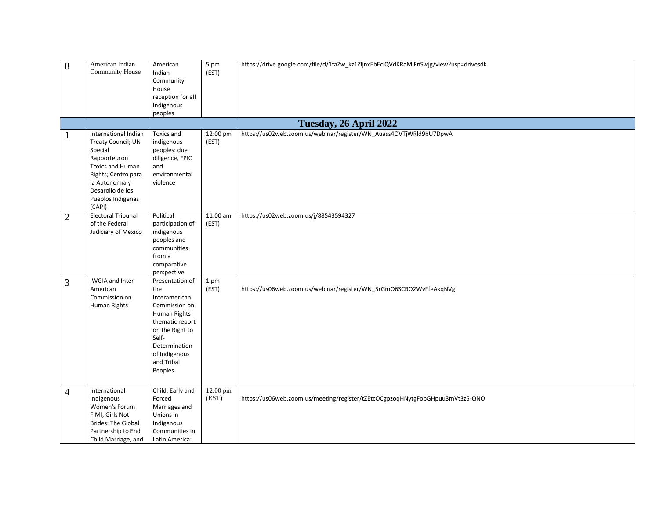| 8              | American Indian<br>Community House                                                                                                                                                           | American<br>Indian<br>Community<br>House<br>reception for all<br>Indigenous<br>peoples                                                                                             | 5 pm<br>(EST)     | https://drive.google.com/file/d/1faZw_kz1ZljnxEbEciQVdKRaMiFnSwjg/view?usp=drivesdk |
|----------------|----------------------------------------------------------------------------------------------------------------------------------------------------------------------------------------------|------------------------------------------------------------------------------------------------------------------------------------------------------------------------------------|-------------------|-------------------------------------------------------------------------------------|
|                |                                                                                                                                                                                              |                                                                                                                                                                                    |                   | Tuesday, 26 April 2022                                                              |
| 1              | International Indian<br>Treaty Council; UN<br>Special<br>Rapporteuron<br><b>Toxics and Human</b><br>Rights; Centro para<br>la Autonomía y<br>Desarollo de los<br>Pueblos Indígenas<br>(CAPI) | Toxics and<br>indigenous<br>peoples: due<br>diligence, FPIC<br>and<br>environmental<br>violence                                                                                    | 12:00 pm<br>(EST) | https://us02web.zoom.us/webinar/register/WN_Auass4OVTjWRld9bU7DpwA                  |
| $\overline{2}$ | Electoral Tribunal<br>of the Federal<br>Judiciary of Mexico                                                                                                                                  | Political<br>participation of<br>indigenous<br>peoples and<br>communities<br>from a<br>comparative<br>perspective                                                                  | 11:00 am<br>(EST) | https://us02web.zoom.us/j/88543594327                                               |
| 3              | IWGIA and Inter-<br>American<br>Commission on<br>Human Rights                                                                                                                                | Presentation of<br>the<br>Interamerican<br>Commission on<br>Human Rights<br>thematic report<br>on the Right to<br>Self-<br>Determination<br>of Indigenous<br>and Tribal<br>Peoples | 1 pm<br>(EST)     | https://us06web.zoom.us/webinar/register/WN_5rGmO6SCRQ2WvFfeAkqNVg                  |
| $\overline{4}$ | International<br>Indigenous<br>Women's Forum<br>FIMI, Girls Not<br><b>Brides: The Global</b><br>Partnership to End<br>Child Marriage, and                                                    | Child, Early and<br>Forced<br>Marriages and<br>Unions in<br>Indigenous<br>Communities in<br>Latin America:                                                                         | 12:00 pm<br>(EST) | https://us06web.zoom.us/meeting/register/tZEtcOCgpzoqHNytgFobGHpuu3mVt3z5-QNO       |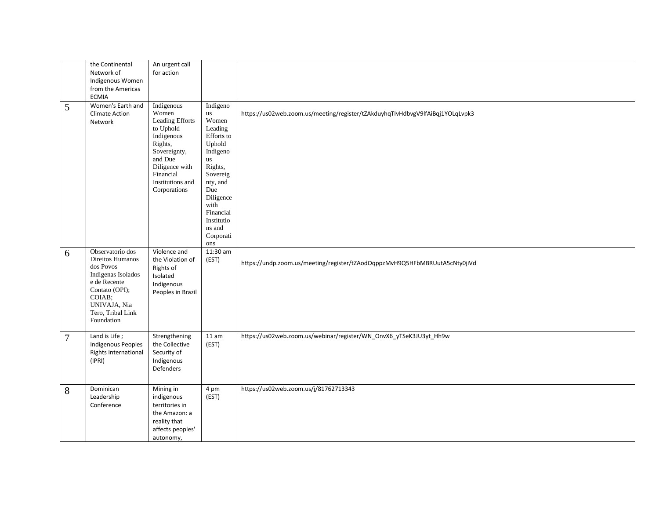|   | the Continental<br>Network of<br>Indigenous Women<br>from the Americas<br><b>ECMIA</b>                                                                                 | An urgent call<br>for action                                                                                                                                               |                                                                                                                                                                                                                  |                                                                               |
|---|------------------------------------------------------------------------------------------------------------------------------------------------------------------------|----------------------------------------------------------------------------------------------------------------------------------------------------------------------------|------------------------------------------------------------------------------------------------------------------------------------------------------------------------------------------------------------------|-------------------------------------------------------------------------------|
| 5 | Women's Earth and<br><b>Climate Action</b><br>Network                                                                                                                  | Indigenous<br>Women<br>Leading Efforts<br>to Uphold<br>Indigenous<br>Rights,<br>Sovereignty,<br>and Due<br>Diligence with<br>Financial<br>Institutions and<br>Corporations | Indigeno<br>$\,$ us<br>Women<br>Leading<br>Efforts to<br>Uphold<br>Indigeno<br><b>us</b><br>Rights,<br>Sovereig<br>nty, and<br>Due<br>Diligence<br>with<br>Financial<br>Institutio<br>ns and<br>Corporati<br>ons | https://us02web.zoom.us/meeting/register/tZAkduyhqTIvHdbvgV9lfAiBqj1YOLqLvpk3 |
| 6 | Observatorio dos<br>Direitos Humanos<br>dos Povos<br>Indigenas Isolados<br>e de Recente<br>Contato (OPI);<br>COIAB:<br>UNIVAJA, Nia<br>Tero, Tribal Link<br>Foundation | Violence and<br>the Violation of<br>Rights of<br>Isolated<br>Indigenous<br>Peoples in Brazil                                                                               | 11:30 am<br>(EST)                                                                                                                                                                                                | https://undp.zoom.us/meeting/register/tZAodOqppzMvH9Q5HFbMBRUutA5cNty0jiVd    |
| 7 | Land is Life;<br><b>Indigenous Peoples</b><br>Rights International<br>(IPRI)                                                                                           | Strengthening<br>the Collective<br>Security of<br>Indigenous<br>Defenders                                                                                                  | 11 am<br>(EST)                                                                                                                                                                                                   | https://us02web.zoom.us/webinar/register/WN_OnvX6_yTSeK3JU3yt_Hh9w            |
| 8 | Dominican<br>Leadership<br>Conference                                                                                                                                  | Mining in<br>indigenous<br>territories in<br>the Amazon: a<br>reality that<br>affects peoples'<br>autonomy,                                                                | 4 pm<br>(EST)                                                                                                                                                                                                    | https://us02web.zoom.us/j/81762713343                                         |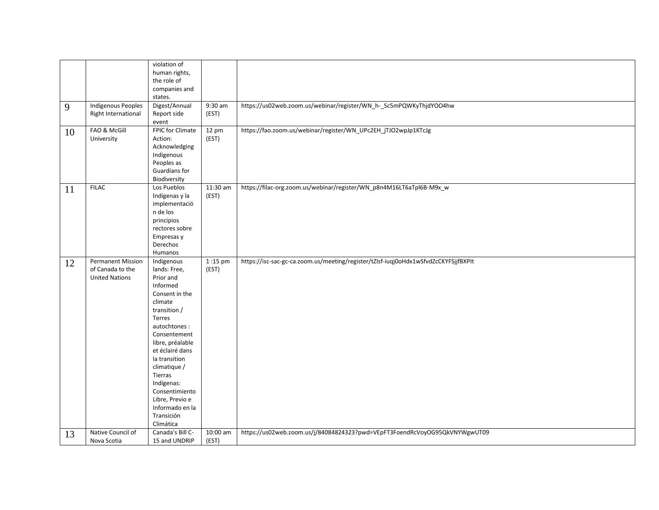|    |                           | violation of              |          |                                                                                     |
|----|---------------------------|---------------------------|----------|-------------------------------------------------------------------------------------|
|    |                           | human rights,             |          |                                                                                     |
|    |                           | the role of               |          |                                                                                     |
|    |                           | companies and             |          |                                                                                     |
|    |                           | states.                   |          |                                                                                     |
| 9  | <b>Indigenous Peoples</b> | Digest/Annual             | 9:30 am  | https://us02web.zoom.us/webinar/register/WN_h-_Sc5mPQWKyThjdYOO4hw                  |
|    | Right International       | Report side               | (EST)    |                                                                                     |
|    |                           | event                     |          |                                                                                     |
| 10 | FAO & McGill              | FPIC for Climate          | 12 pm    | https://fao.zoom.us/webinar/register/WN_UPc2EH_jTJO2wpJp1KTcJg                      |
|    | University                | Action:                   | (EST)    |                                                                                     |
|    |                           | Acknowledging             |          |                                                                                     |
|    |                           | Indigenous                |          |                                                                                     |
|    |                           | Peoples as                |          |                                                                                     |
|    |                           | Guardians for             |          |                                                                                     |
|    |                           | Biodiversity              |          |                                                                                     |
| 11 | <b>FILAC</b>              | Los Pueblos               | 11:30 am | https://filac-org.zoom.us/webinar/register/WN_p8n4M16LT6aTpl6B-M9x_w                |
|    |                           | Indígenas y la            | (EST)    |                                                                                     |
|    |                           | implementació             |          |                                                                                     |
|    |                           | n de los                  |          |                                                                                     |
|    |                           | principios                |          |                                                                                     |
|    |                           | rectores sobre            |          |                                                                                     |
|    |                           | Empresas y                |          |                                                                                     |
|    |                           | Derechos                  |          |                                                                                     |
|    |                           | Humanos                   |          |                                                                                     |
| 12 | <b>Permanent Mission</b>  | Indigenous                | 1:15 pm  | https://isc-sac-gc-ca.zoom.us/meeting/register/tZIsf-iuqj0oHdx1wSfvdZcCKYFSjjfBXPIt |
|    | of Canada to the          | lands: Free,              | (EST)    |                                                                                     |
|    | <b>United Nations</b>     | Prior and                 |          |                                                                                     |
|    |                           | Informed                  |          |                                                                                     |
|    |                           | Consent in the<br>climate |          |                                                                                     |
|    |                           | transition /              |          |                                                                                     |
|    |                           | Terres                    |          |                                                                                     |
|    |                           | autochtones:              |          |                                                                                     |
|    |                           | Consentement              |          |                                                                                     |
|    |                           | libre, préalable          |          |                                                                                     |
|    |                           | et éclairé dans           |          |                                                                                     |
|    |                           | la transition             |          |                                                                                     |
|    |                           | climatique /              |          |                                                                                     |
|    |                           | Tierras                   |          |                                                                                     |
|    |                           | Indígenas:                |          |                                                                                     |
|    |                           | Consentimiento            |          |                                                                                     |
|    |                           | Libre, Previo e           |          |                                                                                     |
|    |                           | Informado en la           |          |                                                                                     |
|    |                           | Transición                |          |                                                                                     |
|    |                           | Climática                 |          |                                                                                     |
| 13 | Native Council of         | Canada's Bill C-          | 10:00 am | https://us02web.zoom.us/j/84084824323?pwd=VEpFT3FoendRcVoyOG95QkVNYWgwUT09          |
|    | Nova Scotia               | 15 and UNDRIP             | (EST)    |                                                                                     |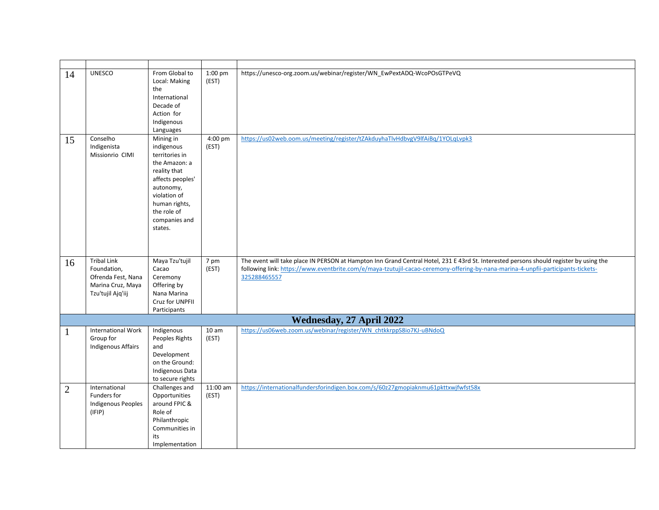| 14             | <b>UNESCO</b>                                                                                     | From Global to<br>Local: Making<br>the<br>International<br>Decade of<br>Action for<br>Indigenous<br>Languages                                                                           | 1:00 pm<br>(EST)  | https://unesco-org.zoom.us/webinar/register/WN_EwPextADQ-WcoPOsGTPeVQ                                                                                                                                                                                                                      |
|----------------|---------------------------------------------------------------------------------------------------|-----------------------------------------------------------------------------------------------------------------------------------------------------------------------------------------|-------------------|--------------------------------------------------------------------------------------------------------------------------------------------------------------------------------------------------------------------------------------------------------------------------------------------|
| 15             | Conselho<br>Indigenista<br>Missionrio CIMI                                                        | Mining in<br>indigenous<br>territories in<br>the Amazon: a<br>reality that<br>affects peoples'<br>autonomy,<br>violation of<br>human rights,<br>the role of<br>companies and<br>states. | 4:00 pm<br>(EST)  | https://us02web.oom.us/meeting/register/tZAkduyhaTlvHdbvgV9lfAiBq/1YOLqLvpk3                                                                                                                                                                                                               |
| 16             | <b>Tribal Link</b><br>Foundation,<br>Ofrenda Fest, Nana<br>Marina Cruz, Maya<br>Tzu'tujil Ajq'iij | Maya Tzu'tujil<br>Cacao<br>Ceremony<br>Offering by<br>Nana Marina<br>Cruz for UNPFII<br>Participants                                                                                    | 7 pm<br>(EST)     | The event will take place IN PERSON at Hampton Inn Grand Central Hotel, 231 E 43rd St. Interested persons should register by using the<br>following link: https://www.eventbrite.com/e/maya-tzutujil-cacao-ceremony-offering-by-nana-marina-4-unpfii-participants-tickets-<br>325288465557 |
|                |                                                                                                   |                                                                                                                                                                                         |                   | Wednesday, 27 April 2022                                                                                                                                                                                                                                                                   |
|                | <b>International Work</b>                                                                         | Indigenous                                                                                                                                                                              | 10 am             | https://us06web.zoom.us/webinar/register/WN_chtkkrppS8io7KJ-uBNdoQ                                                                                                                                                                                                                         |
|                | Group for<br><b>Indigenous Affairs</b>                                                            | Peoples Rights<br>and<br>Development<br>on the Ground:<br>Indigenous Data<br>to secure rights                                                                                           | (EST)             |                                                                                                                                                                                                                                                                                            |
| $\overline{2}$ | International<br>Funders for<br><b>Indigenous Peoples</b><br>(IFIP)                               | Challenges and<br>Opportunities<br>around FPIC &<br>Role of<br>Philanthropic<br>Communities in<br>its<br>Implementation                                                                 | 11:00 am<br>(EST) | https://internationalfundersforindigen.box.com/s/60z27gmopiaknmu61pkttxwjfwfst58x                                                                                                                                                                                                          |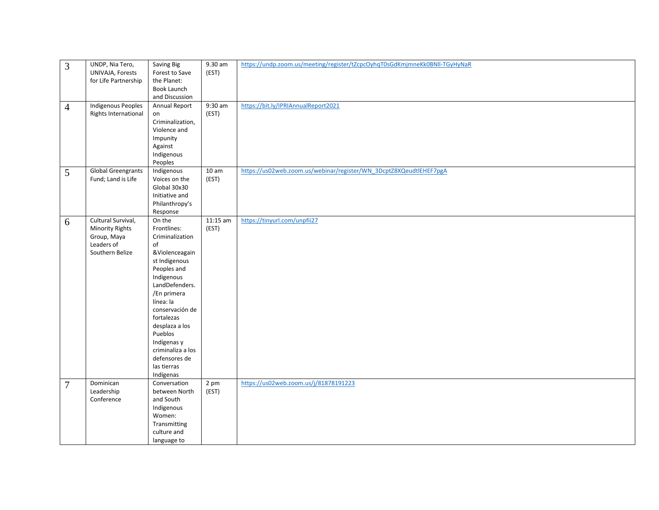| 3              | UNDP, Nia Tero,           | Saving Big           | 9.30 am  | https://undp.zoom.us/meeting/register/tZcpcOyhqT0sGdKmjmneKk0BNII-TGyHyNaR |
|----------------|---------------------------|----------------------|----------|----------------------------------------------------------------------------|
|                | UNIVAJA, Forests          | Forest to Save       | (EST)    |                                                                            |
|                | for Life Partnership      | the Planet:          |          |                                                                            |
|                |                           | Book Launch          |          |                                                                            |
|                |                           | and Discussion       |          |                                                                            |
| $\overline{4}$ | <b>Indigenous Peoples</b> | <b>Annual Report</b> | 9:30 am  | https://bit.ly/IPRIAnnualReport2021                                        |
|                | Rights International      | on                   | (EST)    |                                                                            |
|                |                           | Criminalization,     |          |                                                                            |
|                |                           | Violence and         |          |                                                                            |
|                |                           | Impunity             |          |                                                                            |
|                |                           | Against              |          |                                                                            |
|                |                           | Indigenous           |          |                                                                            |
|                |                           | Peoples              |          |                                                                            |
|                | <b>Global Greengrants</b> | Indigenous           | 10 am    | https://us02web.zoom.us/webinar/register/WN_3DcptZ8XQeudtlEHEF7pgA         |
| 5              |                           | Voices on the        |          |                                                                            |
|                | Fund; Land is Life        |                      | (EST)    |                                                                            |
|                |                           | Global 30x30         |          |                                                                            |
|                |                           | Initiative and       |          |                                                                            |
|                |                           | Philanthropy's       |          |                                                                            |
|                |                           | Response             |          |                                                                            |
| 6              | Cultural Survival,        | On the               | 11:15 am | https://tinyurl.com/unpfii27                                               |
|                | <b>Minority Rights</b>    | Frontlines:          | (EST)    |                                                                            |
|                | Group, Maya               | Criminalization      |          |                                                                            |
|                | Leaders of                | of                   |          |                                                                            |
|                | Southern Belize           | &Violenceagain       |          |                                                                            |
|                |                           | st Indigenous        |          |                                                                            |
|                |                           | Peoples and          |          |                                                                            |
|                |                           | Indigenous           |          |                                                                            |
|                |                           | LandDefenders.       |          |                                                                            |
|                |                           | /En primera          |          |                                                                            |
|                |                           | línea: la            |          |                                                                            |
|                |                           | conservación de      |          |                                                                            |
|                |                           | fortalezas           |          |                                                                            |
|                |                           | desplaza a los       |          |                                                                            |
|                |                           | Pueblos              |          |                                                                            |
|                |                           | Indígenas y          |          |                                                                            |
|                |                           | criminaliza a los    |          |                                                                            |
|                |                           | defensores de        |          |                                                                            |
|                |                           | las tierras          |          |                                                                            |
|                |                           | Indígenas            |          |                                                                            |
| $\overline{7}$ | Dominican                 | Conversation         | 2 pm     | https://us02web.zoom.us/j/81878191223                                      |
|                | Leadership                | between North        | (EST)    |                                                                            |
|                | Conference                | and South            |          |                                                                            |
|                |                           | Indigenous           |          |                                                                            |
|                |                           | Women:               |          |                                                                            |
|                |                           | Transmitting         |          |                                                                            |
|                |                           |                      |          |                                                                            |
|                |                           | culture and          |          |                                                                            |
|                |                           | language to          |          |                                                                            |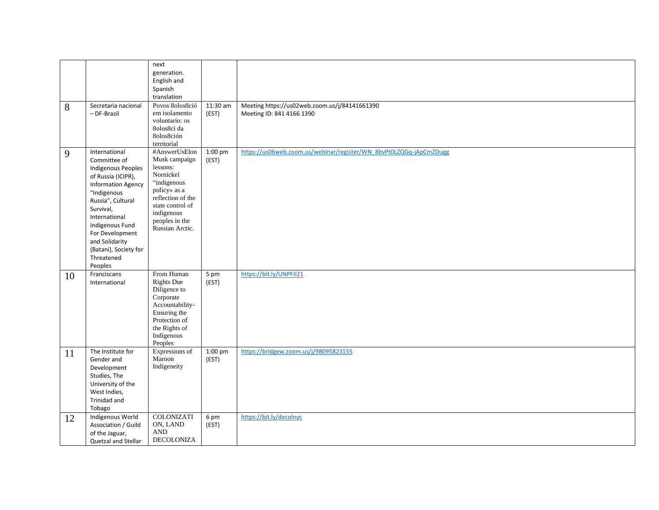| 8  | Secretaria nacional<br>- DF-Brazil                                                                                                                                                                                                                                                        | next<br>generation.<br>English and<br>Spanish<br>translation<br>Povos 8olos8ció<br>em isolamento<br>voluntario: os<br>80los8ci da                                                  | 11:30 am<br>(EST)          | Meeting https://us02web.zoom.us/j/84141661390<br>Meeting ID: 841 4166 1390 |
|----|-------------------------------------------------------------------------------------------------------------------------------------------------------------------------------------------------------------------------------------------------------------------------------------------|------------------------------------------------------------------------------------------------------------------------------------------------------------------------------------|----------------------------|----------------------------------------------------------------------------|
|    |                                                                                                                                                                                                                                                                                           | 8olos8ción<br>territorial                                                                                                                                                          |                            |                                                                            |
| 9  | International<br>Committee of<br><b>Indigenous Peoples</b><br>of Russia (ICIPR),<br><b>Information Agency</b><br>"Indigenous<br>Russia", Cultural<br>Survival,<br>International<br>Indigenous Fund<br>For Development<br>and Solidarity<br>(Batani), Society for<br>Threatened<br>Peoples | #AnswerUsElon<br>Musk campaign<br>lessons:<br>Nornickel<br>"indigenous<br>policy» as a<br>reflection of the<br>state control of<br>indigenous<br>peoples in the<br>Russian Arctic. | $1:00 \text{ pm}$<br>(EST) | https://us06web.zoom.us/webinar/register/WN_8bvPt0LZQGq-jApCmZDugg         |
| 10 | Franciscans<br>International                                                                                                                                                                                                                                                              | From Human<br><b>Rights Due</b><br>Diligence to<br>Corporate<br>Accountability-<br>Ensuring the<br>Protection of<br>the Rights of<br>Indigenous<br>Peoples                         | 5 pm<br>(EST)              | https://bit.ly/UNPFII21                                                    |
| 11 | The Institute for<br>Gender and<br>Development<br>Studies, The<br>University of the<br>West Indies,<br>Trinidad and<br>Tobago                                                                                                                                                             | Expressions of<br>Maroon<br>Indigeneity                                                                                                                                            | 1:00 pm<br>(EST)           | https://bridgew.zoom.us/j/98095823155                                      |
| 12 | Indigenous World<br>Association / Guild<br>of the Jaguar,<br>Quetzal and Stellar                                                                                                                                                                                                          | <b>COLONIZATI</b><br>ON, LAND<br><b>AND</b><br>DECOLONIZA                                                                                                                          | 6 pm<br>(EST)              | https://bit.ly/decolnyc                                                    |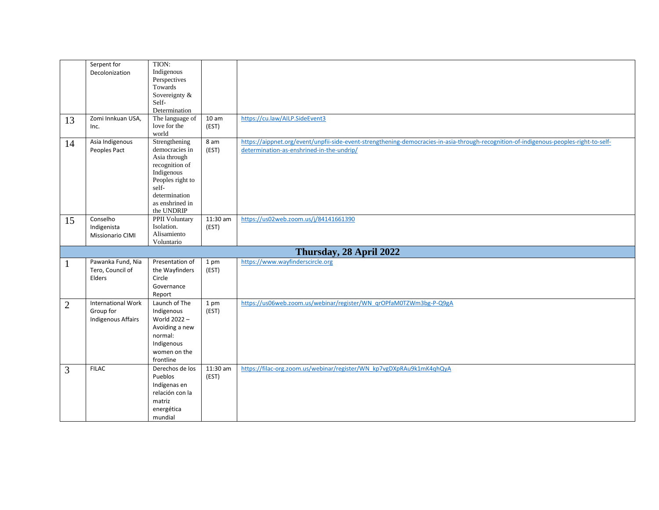|                | Serpent for               | TION:                        |                  |                                                                                                                                        |
|----------------|---------------------------|------------------------------|------------------|----------------------------------------------------------------------------------------------------------------------------------------|
|                | Decolonization            | Indigenous                   |                  |                                                                                                                                        |
|                |                           | Perspectives                 |                  |                                                                                                                                        |
|                |                           | Towards                      |                  |                                                                                                                                        |
|                |                           | Sovereignty &                |                  |                                                                                                                                        |
|                |                           | Self-                        |                  |                                                                                                                                        |
|                |                           | Determination                |                  |                                                                                                                                        |
| 13             | Zomi Innkuan USA,         | The language of              | 10 <sub>am</sub> | https://cu.law/AILP.SideEvent3                                                                                                         |
|                | Inc.                      | love for the                 | (EST)            |                                                                                                                                        |
|                |                           | world                        |                  |                                                                                                                                        |
| 14             | Asia Indigenous           | Strengthening                | 8 am             | https://aippnet.org/event/unpfii-side-event-strengthening-democracies-in-asia-through-recognition-of-indigenous-peoples-right-to-self- |
|                | Peoples Pact              | democracies in               | (EST)            | determination-as-enshrined-in-the-undrip/                                                                                              |
|                |                           | Asia through                 |                  |                                                                                                                                        |
|                |                           | recognition of<br>Indigenous |                  |                                                                                                                                        |
|                |                           | Peoples right to             |                  |                                                                                                                                        |
|                |                           | self-                        |                  |                                                                                                                                        |
|                |                           | determination                |                  |                                                                                                                                        |
|                |                           | as enshrined in              |                  |                                                                                                                                        |
|                |                           | the UNDRIP                   |                  |                                                                                                                                        |
| 15             | Conselho                  | <b>PPII</b> Voluntary        | $11:30$ am       | https://us02web.zoom.us/j/84141661390                                                                                                  |
|                | Indigenista               | Isolation.                   | (EST)            |                                                                                                                                        |
|                | <b>Missionario CIMI</b>   | Alisamiento                  |                  |                                                                                                                                        |
|                |                           | Voluntario                   |                  |                                                                                                                                        |
|                |                           |                              |                  | Thursday, 28 April 2022                                                                                                                |
| 1              | Pawanka Fund, Nia         | Presentation of              | 1 pm             | https://www.wayfinderscircle.org                                                                                                       |
|                | Tero, Council of          | the Wayfinders               | (EST)            |                                                                                                                                        |
|                | Elders                    | Circle                       |                  |                                                                                                                                        |
|                |                           | Governance                   |                  |                                                                                                                                        |
|                |                           | Report                       |                  |                                                                                                                                        |
| $\overline{2}$ | International Work        | Launch of The                | 1 pm             | https://us06web.zoom.us/webinar/register/WN_qrOPfaM0TZWm3bg-P-Q9gA                                                                     |
|                | Group for                 | Indigenous                   | (EST)            |                                                                                                                                        |
|                | <b>Indigenous Affairs</b> | World 2022-                  |                  |                                                                                                                                        |
|                |                           | Avoiding a new               |                  |                                                                                                                                        |
|                |                           | normal:                      |                  |                                                                                                                                        |
|                |                           | Indigenous                   |                  |                                                                                                                                        |
|                |                           | women on the                 |                  |                                                                                                                                        |
|                |                           | frontline                    |                  |                                                                                                                                        |
| $\overline{3}$ | <b>FILAC</b>              | Derechos de los              | 11:30 am         | https://filac-org.zoom.us/webinar/register/WN_kp7vgDXpRAu9k1mK4qhQyA                                                                   |
|                |                           | Pueblos                      | (EST)            |                                                                                                                                        |
|                |                           | Indígenas en                 |                  |                                                                                                                                        |
|                |                           | relación con la              |                  |                                                                                                                                        |
|                |                           | matriz                       |                  |                                                                                                                                        |
|                |                           | energética                   |                  |                                                                                                                                        |
|                |                           | mundial                      |                  |                                                                                                                                        |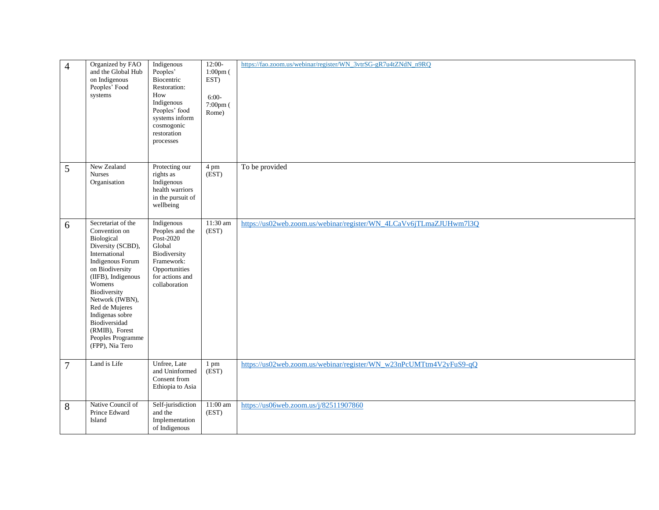| $\overline{4}$ | Organized by FAO<br>and the Global Hub<br>on Indigenous<br>Peoples' Food<br>systems                                                                                                                                                                                                                               | Indigenous<br>Peoples'<br>Biocentric<br>Restoration:<br>How<br>Indigenous<br>Peoples' food<br>systems inform<br>cosmogonic<br>restoration<br>processes | $12:00-$<br>$1:00$ pm $($<br>EST)<br>$6:00-$<br>7:00pm (<br>Rome) | https://fao.zoom.us/webinar/register/WN_3vtrSG-gR7u4tZNdN_n9RQ     |
|----------------|-------------------------------------------------------------------------------------------------------------------------------------------------------------------------------------------------------------------------------------------------------------------------------------------------------------------|--------------------------------------------------------------------------------------------------------------------------------------------------------|-------------------------------------------------------------------|--------------------------------------------------------------------|
| 5              | New Zealand<br><b>Nurses</b><br>Organisation                                                                                                                                                                                                                                                                      | Protecting our<br>rights as<br>Indigenous<br>health warriors<br>in the pursuit of<br>wellbeing                                                         | 4 pm<br>$\overline{\text{(EST)}}$                                 | To be provided                                                     |
| 6              | Secretariat of the<br>Convention on<br>Biological<br>Diversity (SCBD),<br>International<br>Indigenous Forum<br>on Biodiversity<br>(IIFB), Indigenous<br>Womens<br>Biodiversity<br>Network (IWBN),<br>Red de Mujeres<br>Indigenas sobre<br>Biodiversidad<br>(RMIB), Forest<br>Peoples Programme<br>(FPP), Nia Tero | Indigenous<br>Peoples and the<br>Post-2020<br>Global<br>Biodiversity<br>Framework:<br>Opportunities<br>for actions and<br>collaboration                | 11:30 am<br>(EST)                                                 | https://us02web.zoom.us/webinar/register/WN_4LCaVv6jTLmaZJUHwm7l3Q |
| $\overline{7}$ | Land is Life                                                                                                                                                                                                                                                                                                      | Unfree, Late<br>and Uninformed<br>Consent from<br>Ethiopia to Asia                                                                                     | 1 pm<br>$\overline{\text{EST}}$                                   | https://us02web.zoom.us/webinar/register/WN_w23nPcUMTtm4V2yFuS9-qQ |
| 8              | Native Council of<br>Prince Edward<br>Island                                                                                                                                                                                                                                                                      | Self-jurisdiction<br>and the<br>Implementation<br>of Indigenous                                                                                        | 11:00 am<br>(EST)                                                 | https://us06web.zoom.us/j/82511907860                              |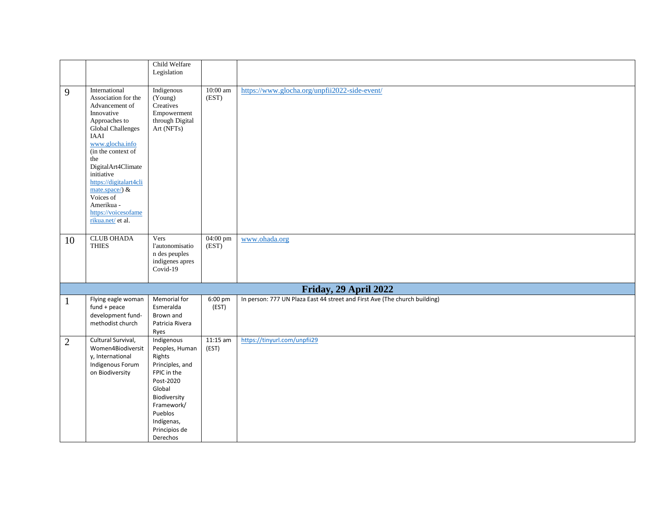|                |                                                                                                                                                                                                                                                                                                                              | Child Welfare<br>Legislation                                                                                                                                                        |                     |                                                                            |
|----------------|------------------------------------------------------------------------------------------------------------------------------------------------------------------------------------------------------------------------------------------------------------------------------------------------------------------------------|-------------------------------------------------------------------------------------------------------------------------------------------------------------------------------------|---------------------|----------------------------------------------------------------------------|
| 9              | International<br>Association for the<br>Advancement of<br>Innovative<br>Approaches to<br>Global Challenges<br>IAAI<br>www.glocha.info<br>(in the context of<br>the<br>DigitalArt4Climate<br>initiative<br>https://digitalart4cli<br>mate.space/) $\&$<br>Voices of<br>Amerikua -<br>https://voicesofame<br>rikua.net/ et al. | Indigenous<br>(Young)<br>Creatives<br>Empowerment<br>through Digital<br>Art (NFTs)                                                                                                  | 10:00 am<br>(EST)   | https://www.glocha.org/unpfii2022-side-event/                              |
| 10             | <b>CLUB OHADA</b><br><b>THIES</b>                                                                                                                                                                                                                                                                                            | Vers<br>l'autonomisatio<br>n des peuples<br>indigenes apres<br>$Covid-19$                                                                                                           | 04:00 pm<br>(EST)   | www.ohada.org                                                              |
|                |                                                                                                                                                                                                                                                                                                                              |                                                                                                                                                                                     |                     | Friday, 29 April 2022                                                      |
|                | Flying eagle woman<br>fund + peace<br>development fund-<br>methodist church                                                                                                                                                                                                                                                  | Memorial for<br>Esmeralda<br>Brown and<br>Patricia Rivera<br>Ryes                                                                                                                   | 6:00 pm<br>(EST)    | In person: 777 UN Plaza East 44 street and First Ave (The church building) |
| $\overline{2}$ | Cultural Survival,<br>Women4Biodiversit<br>y, International<br>Indigenous Forum<br>on Biodiversity                                                                                                                                                                                                                           | Indigenous<br>Peoples, Human<br>Rights<br>Principles, and<br>FPIC in the<br>Post-2020<br>Global<br>Biodiversity<br>Framework/<br>Pueblos<br>Indígenas,<br>Principios de<br>Derechos | $11:15$ am<br>(EST) | https://tinyurl.com/unpfii29                                               |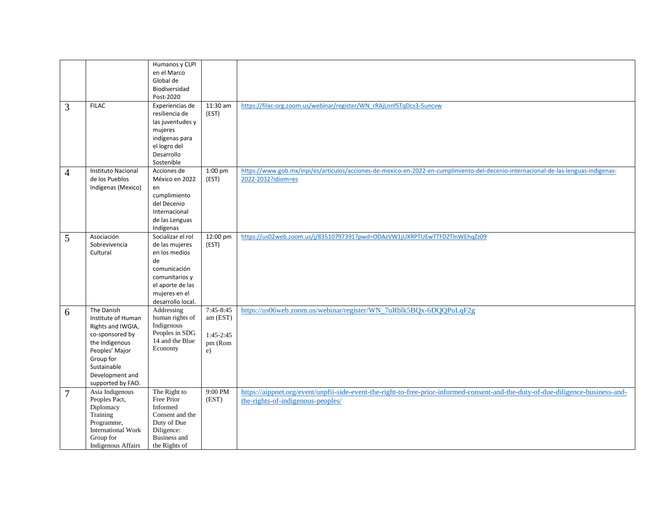|                |                           | Humanos y CLPI      |             |                                                                                                                                     |
|----------------|---------------------------|---------------------|-------------|-------------------------------------------------------------------------------------------------------------------------------------|
|                |                           | en el Marco         |             |                                                                                                                                     |
|                |                           |                     |             |                                                                                                                                     |
|                |                           | Global de           |             |                                                                                                                                     |
|                |                           | Biodiversidad       |             |                                                                                                                                     |
|                |                           | Post-2020           |             |                                                                                                                                     |
| 3              | <b>FILAC</b>              | Experiencias de     | 11:30 am    | https://filac-org.zoom.us/webinar/register/WN_rRAjLnnfSTqDcs3-5uncvw                                                                |
|                |                           | resiliencia de      | (EST)       |                                                                                                                                     |
|                |                           | las juventudes y    |             |                                                                                                                                     |
|                |                           | mujeres             |             |                                                                                                                                     |
|                |                           | indígenas para      |             |                                                                                                                                     |
|                |                           | el logro del        |             |                                                                                                                                     |
|                |                           | Desarrollo          |             |                                                                                                                                     |
|                |                           | Sostenible          |             |                                                                                                                                     |
|                | <b>Instituto Nacional</b> | Acciones de         | $1:00$ pm   | https://www.gob.mx/inpi/es/articulos/acciones-de-mexico-en-2022-en-cumplimiento-del-decenio-internacional-de-las-lenguas-indigenas- |
| $\overline{4}$ |                           |                     |             |                                                                                                                                     |
|                | de los Pueblos            | México en 2022      | (EST)       | 2022-2032?idiom=es                                                                                                                  |
|                | Indígenas (Mexico)        | en                  |             |                                                                                                                                     |
|                |                           | cumplimiento        |             |                                                                                                                                     |
|                |                           | del Decenio         |             |                                                                                                                                     |
|                |                           | Internacional       |             |                                                                                                                                     |
|                |                           | de las Lenguas      |             |                                                                                                                                     |
|                |                           | Indígenas           |             |                                                                                                                                     |
| 5              | Asociación                | Socializar el rol   | 12:00 pm    | https://us02web.zoom.us/j/83510797391?pwd=ODAzVW1jUXRPTUEwTTFDZTlnWEhgZz09                                                          |
|                | Sobrevivencia             | de las mujeres      | (EST)       |                                                                                                                                     |
|                | Cultural                  | en los medios       |             |                                                                                                                                     |
|                |                           | de                  |             |                                                                                                                                     |
|                |                           | comunicación        |             |                                                                                                                                     |
|                |                           | comunitarios y      |             |                                                                                                                                     |
|                |                           |                     |             |                                                                                                                                     |
|                |                           | el aporte de las    |             |                                                                                                                                     |
|                |                           | mujeres en el       |             |                                                                                                                                     |
|                |                           | desarrollo local.   |             |                                                                                                                                     |
| 6              | The Danish                | Addressing          | 7:45-8:45   | https://us06web.zoom.us/webinar/register/WN_7uRblk5BQx-6DQQPuLqF2g                                                                  |
|                | Institute of Human        | human rights of     | am (EST)    |                                                                                                                                     |
|                | Rights and IWGIA,         | Indigenous          |             |                                                                                                                                     |
|                | co-sponsored by           | Peoples in SDG      | $1:45-2:45$ |                                                                                                                                     |
|                | the Indigenous            | 14 and the Blue     | pm (Rom     |                                                                                                                                     |
|                | Peoples' Major            | Economy             | e)          |                                                                                                                                     |
|                | Group for                 |                     |             |                                                                                                                                     |
|                | Sustainable               |                     |             |                                                                                                                                     |
|                | Development and           |                     |             |                                                                                                                                     |
|                | supported by FAO.         |                     |             |                                                                                                                                     |
|                | Asia Indigenous           | The Right to        | 9:00 PM     | https://aippnet.org/event/unpfii-side-event-the-right-to-free-prior-informed-consent-and-the-duty-of-due-diligence-business-and-    |
| $\overline{7}$ | Peoples Pact,             | Free Prior          | (EST)       |                                                                                                                                     |
|                | Diplomacy                 | Informed            |             | the-rights-of-indigenous-peoples/                                                                                                   |
|                | Training                  | Consent and the     |             |                                                                                                                                     |
|                | Programme,                | Duty of Due         |             |                                                                                                                                     |
|                | <b>International Work</b> | Diligence:          |             |                                                                                                                                     |
|                | Group for                 | <b>Business</b> and |             |                                                                                                                                     |
|                |                           |                     |             |                                                                                                                                     |
|                | <b>Indigenous Affairs</b> | the Rights of       |             |                                                                                                                                     |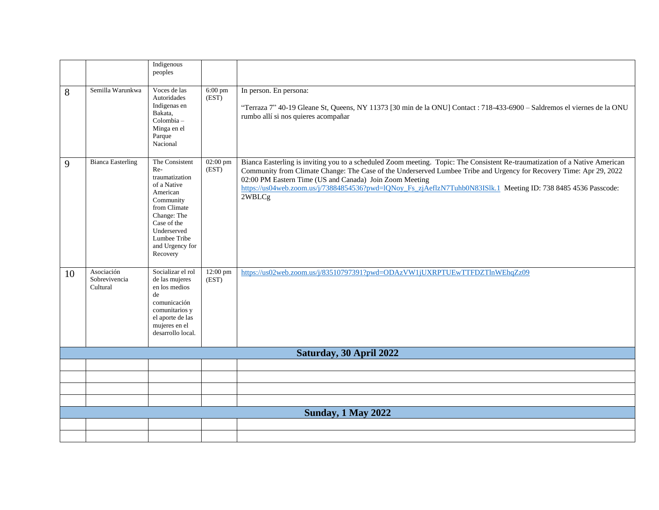|    |                                         | Indigenous<br>peoples                                                                                                                                                                       |                    |                                                                                                                                                                                                                                                                                                                                                                                                                                           |
|----|-----------------------------------------|---------------------------------------------------------------------------------------------------------------------------------------------------------------------------------------------|--------------------|-------------------------------------------------------------------------------------------------------------------------------------------------------------------------------------------------------------------------------------------------------------------------------------------------------------------------------------------------------------------------------------------------------------------------------------------|
| 8  | Semilla Warunkwa                        | Voces de las<br>Autoridades<br>Indigenas en<br>Bakata,<br>Colombia-<br>Minga en el<br>Parque<br>Nacional                                                                                    | $6:00$ pm<br>(EST) | In person. En persona:<br>"Terraza 7" 40-19 Gleane St, Queens, NY 11373 [30 min de la ONU] Contact : 718-433-6900 - Saldremos el viernes de la ONU<br>rumbo allí si nos quieres acompañar                                                                                                                                                                                                                                                 |
| 9  | <b>Bianca Easterling</b>                | The Consistent<br>Re-<br>traumatization<br>of a Native<br>American<br>Community<br>from Climate<br>Change: The<br>Case of the<br>Underserved<br>Lumbee Tribe<br>and Urgency for<br>Recovery | 02:00 pm<br>(EST)  | Bianca Easterling is inviting you to a scheduled Zoom meeting. Topic: The Consistent Re-traumatization of a Native American<br>Community from Climate Change: The Case of the Underserved Lumbee Tribe and Urgency for Recovery Time: Apr 29, 2022<br>02:00 PM Eastern Time (US and Canada) Join Zoom Meeting<br>https://us04web.zoom.us/j/73884854536?pwd=lQNoy_Fs_zjAeflzN7Tuhb0N83ISlk.1 Meeting ID: 738 8485 4536 Passcode:<br>2WBLCg |
| 10 | Asociación<br>Sobrevivencia<br>Cultural | Socializar el rol<br>de las mujeres<br>en los medios<br>de<br>comunicación<br>comunitarios y<br>el aporte de las<br>mujeres en el<br>desarrollo local.                                      | 12:00 pm<br>(EST)  | https://us02web.zoom.us/j/83510797391?pwd=ODAzVW1jUXRPTUEwTTFDZTlnWEhqZz09                                                                                                                                                                                                                                                                                                                                                                |
|    |                                         |                                                                                                                                                                                             |                    | Saturday, 30 April 2022                                                                                                                                                                                                                                                                                                                                                                                                                   |
|    |                                         |                                                                                                                                                                                             |                    |                                                                                                                                                                                                                                                                                                                                                                                                                                           |
|    |                                         |                                                                                                                                                                                             |                    |                                                                                                                                                                                                                                                                                                                                                                                                                                           |
|    |                                         |                                                                                                                                                                                             |                    |                                                                                                                                                                                                                                                                                                                                                                                                                                           |
|    |                                         |                                                                                                                                                                                             |                    | <b>Sunday, 1 May 2022</b>                                                                                                                                                                                                                                                                                                                                                                                                                 |
|    |                                         |                                                                                                                                                                                             |                    |                                                                                                                                                                                                                                                                                                                                                                                                                                           |
|    |                                         |                                                                                                                                                                                             |                    |                                                                                                                                                                                                                                                                                                                                                                                                                                           |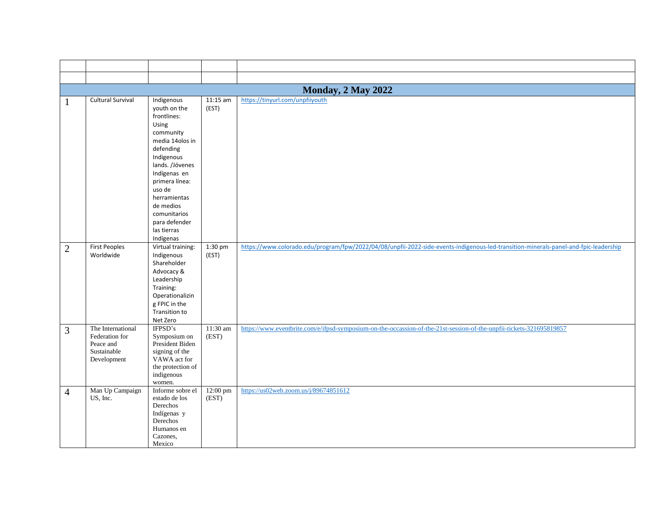|                | <b>Monday, 2 May 2022</b>                                                      |                                                                                                                                                                                                                                                                        |                   |                                                                                                                                      |  |  |  |
|----------------|--------------------------------------------------------------------------------|------------------------------------------------------------------------------------------------------------------------------------------------------------------------------------------------------------------------------------------------------------------------|-------------------|--------------------------------------------------------------------------------------------------------------------------------------|--|--|--|
| $\mathbf{1}$   | <b>Cultural Survival</b>                                                       | Indigenous<br>youth on the<br>frontlines:<br>Using<br>community<br>media 14olos in<br>defending<br>Indigenous<br>lands. /Jóvenes<br>Indígenas en<br>primera línea:<br>uso de<br>herramientas<br>de medios<br>comunitarios<br>para defender<br>las tierras<br>Indígenas | 11:15 am<br>(EST) | https://tinyurl.com/unpfiiyouth                                                                                                      |  |  |  |
| $\mathbf{2}$   | <b>First Peoples</b><br>Worldwide                                              | Virtual training:<br>Indigenous<br>Shareholder<br>Advocacy &<br>Leadership<br>Training:<br>Operationalizin<br>g FPIC in the<br>Transition to<br>Net Zero                                                                                                               | 1:30 pm<br>(EST)  | https://www.colorado.edu/program/fpw/2022/04/08/unpfii-2022-side-events-indigenous-led-transition-minerals-panel-and-fpic-leadership |  |  |  |
| 3              | The International<br>Federation for<br>Peace and<br>Sustainable<br>Development | IFPSD's<br>Symposium on<br>President Biden<br>signing of the<br>VAWA act for<br>the protection of<br>indigenous<br>women.                                                                                                                                              | 11:30 am<br>(EST) | https://www.eventbrite.com/e/ifpsd-symposium-on-the-occassion-of-the-21st-session-of-the-unpfii-tickets-321695819857                 |  |  |  |
| $\overline{4}$ | Man Up Campaign<br>US, Inc.                                                    | Informe sobre el<br>estado de los<br>Derechos<br>Indígenas y<br>Derechos<br>Humanos en<br>Cazones.<br>Mexico                                                                                                                                                           | 12:00 pm<br>(EST) | https://us02web.zoom.us/j/89674851612                                                                                                |  |  |  |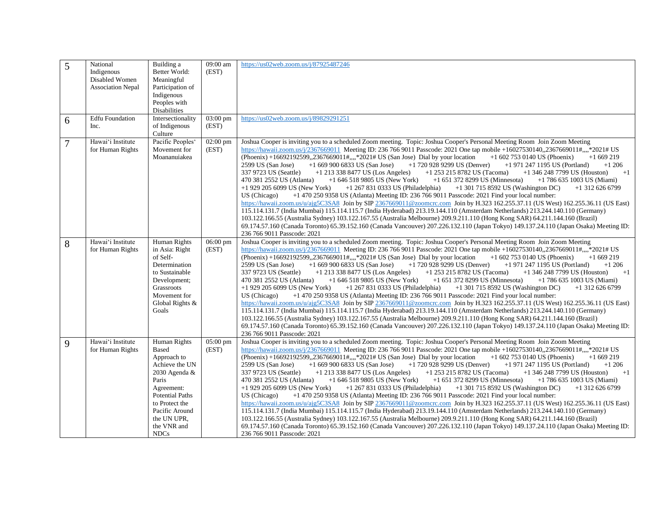| 5              | National<br>Indigenous<br>Disabled Women<br><b>Association Nepal</b> | Building a<br>Better World:<br>Meaningful<br>Participation of<br>Indigenous<br>Peoples with<br>Disabilities                                                                                                 | 09:00 am<br>(EST)           | https://us02web.zoom.us/j/87925487246                                                                                                                                                                                                                                                                                                                                                                                                                                                                                                                                                                                                                                                                                                                                                                                                                                                                                                                                                                                                                                                                                                                                                                                                                                                                                                                                                                                                                                                                                                                                                                                                                     |
|----------------|----------------------------------------------------------------------|-------------------------------------------------------------------------------------------------------------------------------------------------------------------------------------------------------------|-----------------------------|-----------------------------------------------------------------------------------------------------------------------------------------------------------------------------------------------------------------------------------------------------------------------------------------------------------------------------------------------------------------------------------------------------------------------------------------------------------------------------------------------------------------------------------------------------------------------------------------------------------------------------------------------------------------------------------------------------------------------------------------------------------------------------------------------------------------------------------------------------------------------------------------------------------------------------------------------------------------------------------------------------------------------------------------------------------------------------------------------------------------------------------------------------------------------------------------------------------------------------------------------------------------------------------------------------------------------------------------------------------------------------------------------------------------------------------------------------------------------------------------------------------------------------------------------------------------------------------------------------------------------------------------------------------|
| 6              | <b>Edfu</b> Foundation<br>Inc.                                       | Intersectionality<br>of Indigenous<br>Culture                                                                                                                                                               | $03:00 \text{ pm}$<br>(EST) | https://us02web.zoom.us/j/89829291251                                                                                                                                                                                                                                                                                                                                                                                                                                                                                                                                                                                                                                                                                                                                                                                                                                                                                                                                                                                                                                                                                                                                                                                                                                                                                                                                                                                                                                                                                                                                                                                                                     |
| $\overline{7}$ | Hawai'i Institute<br>for Human Rights                                | Pacific Peoples <sup>®</sup><br>Movement for<br>Moananuiakea                                                                                                                                                | $02:00 \text{ pm}$<br>(EST) | Joshua Cooper is inviting you to a scheduled Zoom meeting. Topic: Joshua Cooper's Personal Meeting Room Join Zoom Meeting<br>https://hawaii.zoom.us/j/2367669011 Meeting ID: 236 766 9011 Passcode: 2021 One tap mobile +16027530140, 2367669011#,,,,*2021# US<br>(Phoenix) +16692192599, 2367669011#,,,,*2021# US (San Jose) Dial by your location<br>$+16027530140$ US (Phoenix)<br>$+1669219$<br>2599 US (San Jose)<br>$+16699006833$ US (San Jose)<br>$+1$ 720 928 9299 US (Denver)<br>$+1$ 971 247 1195 US (Portland)<br>$+1206$<br>337 9723 US (Seattle)<br>$+1$ 253 215 8782 US (Tacoma)<br>$+1$<br>$+1$ 213 338 8477 US (Los Angeles)<br>$+1$ 346 248 7799 US (Houston)<br>+1 646 518 9805 US (New York)<br>470 381 2552 US (Atlanta)<br>$+1$ 651 372 8299 US (Minnesota)<br>$+1$ 786 635 1003 US (Miami)<br>$+1$ 929 205 6099 US (New York)<br>$+1$ 267 831 0333 US (Philadelphia)<br>$+1$ 301 715 8592 US (Washington DC)<br>$+1$ 312 626 6799<br>+1 470 250 9358 US (Atlanta) Meeting ID: 236 766 9011 Passcode: 2021 Find your local number:<br>US (Chicago)<br>https://hawaii.zoom.us/u/ajg5C3SA8 Join by SIP 2367669011@zoomcrc.com Join by H.323 162.255.37.11 (US West) 162.255.36.11 (US East)<br>115.114.131.7 (India Mumbai) 115.114.115.7 (India Hyderabad) 213.19.144.110 (Amsterdam Netherlands) 213.244.140.110 (Germany)<br>103.122.166.55 (Australia Sydney) 103.122.167.55 (Australia Melbourne) 209.9.211.110 (Hong Kong SAR) 64.211.144.160 (Brazil)<br>69.174.57.160 (Canada Toronto) 65.39.152.160 (Canada Vancouver) 207.226.132.110 (Japan Tokyo) 149.137.24.110 (Japan Osaka) Meeting ID:<br>236 766 9011 Passcode: 2021 |
| 8              | Hawai'i Institute<br>for Human Rights                                | Human Rights<br>in Asia: Right<br>of Self-<br>Determination<br>to Sustainable<br>Development;<br>Grassroots<br>Movement for<br>Global Rights &<br>Goals                                                     | $06:00 \text{ pm}$<br>(EST) | Joshua Cooper is inviting you to a scheduled Zoom meeting. Topic: Joshua Cooper's Personal Meeting Room Join Zoom Meeting<br>https://hawaii.zoom.us/j/2367669011 Meeting ID: 236 766 9011 Passcode: 2021 One tap mobile +16027530140,,2367669011#,,,,*2021# US<br>(Phoenix) +16692192599,,2367669011#,,,,*2021# US (San Jose) Dial by your location<br>$+16027530140$ US (Phoenix)<br>$+1669219$<br>2599 US (San Jose)<br>$+16699006833$ US (San Jose)<br>$+1$ 720 928 9299 US (Denver)<br>$+1$ 971 247 1195 US (Portland)<br>$+1206$<br>337 9723 US (Seattle)<br>$+1$ 213 338 8477 US (Los Angeles)<br>+1 253 215 8782 US (Tacoma)<br>$+1$ 346 248 7799 US (Houston)<br>$+1$<br>$+16465189805$ US (New York) $+16513728299$ US (Minnesota)<br>470 381 2552 US (Atlanta)<br>$+1$ 786 635 1003 US (Miami)<br>$+1$ 929 205 6099 US (New York)<br>$+1$ 267 831 0333 US (Philadelphia)<br>$+1$ 301 715 8592 US (Washington DC)<br>$+1$ 312 626 6799<br>+1 470 250 9358 US (Atlanta) Meeting ID: 236 766 9011 Passcode: 2021 Find your local number:<br>US (Chicago)<br>https://hawaii.zoom.us/u/ajg5C3SA8 Join by SIP 2367669011@zoomcrc.com Join by H.323 162.255.37.11 (US West) 162.255.36.11 (US East)<br>115.114.131.7 (India Mumbai) 115.114.115.7 (India Hyderabad) 213.19.144.110 (Amsterdam Netherlands) 213.244.140.110 (Germany)<br>103.122.166.55 (Australia Sydney) 103.122.167.55 (Australia Melbourne) 209.9.211.110 (Hong Kong SAR) 64.211.144.160 (Brazil)<br>69.174.57.160 (Canada Toronto) 65.39.152.160 (Canada Vancouver) 207.226.132.110 (Japan Tokyo) 149.137.24.110 (Japan Osaka) Meeting ID:<br>236 766 9011 Passcode: 2021          |
| 9              | Hawai'i Institute<br>for Human Rights                                | Human Rights<br>Based<br>Approach to<br>Achieve the UN<br>2030 Agenda $&$<br>Paris<br>Agreement:<br><b>Potential Paths</b><br>to Protect the<br>Pacific Around<br>the UN UPR,<br>the VNR and<br><b>NDCs</b> | $05:00 \text{ pm}$<br>(EST) | Joshua Cooper is inviting you to a scheduled Zoom meeting. Topic: Joshua Cooper's Personal Meeting Room Join Zoom Meeting<br>https://hawaii.zoom.us/j/2367669011 Meeting ID: 236 766 9011 Passcode: 2021 One tap mobile +16027530140, 2367669011#,,,,*2021# US<br>(Phoenix) +16692192599, 2367669011#,,,,*2021# US (San Jose) Dial by your location<br>$+1$ 602 753 0140 US (Phoenix)<br>$+1669219$<br>2599 US (San Jose)<br>$+1$ 720 928 9299 US (Denver)<br>$+16699006833$ US (San Jose)<br>$+1$ 971 247 1195 US (Portland)<br>$+1206$<br>337 9723 US (Seattle)<br>$+1$ 213 338 8477 US (Los Angeles)<br>+1 253 215 8782 US (Tacoma)<br>$+1$ 346 248 7799 US (Houston)<br>$+1$<br>$+16465189805$ US (New York)<br>+1 651 372 8299 US (Minnesota)<br>470 381 2552 US (Atlanta)<br>$+1$ 786 635 1003 US (Miami)<br>+1 267 831 0333 US (Philadelphia)<br>$+1$ 929 205 6099 US (New York)<br>$+1$ 301 715 8592 US (Washington DC)<br>$+1$ 312 626 6799<br>+1 470 250 9358 US (Atlanta) Meeting ID: 236 766 9011 Passcode: 2021 Find your local number:<br>US (Chicago)<br>https://hawaii.zoom.us/u/ajg5C3SA8 Join by SIP 2367669011@zoomcrc.com Join by H.323 162.255.37.11 (US West) 162.255.36.11 (US East)<br>115.114.131.7 (India Mumbai) 115.114.115.7 (India Hyderabad) 213.19.144.110 (Amsterdam Netherlands) 213.244.140.110 (Germany)<br>103.122.166.55 (Australia Sydney) 103.122.167.55 (Australia Melbourne) 209.9.211.110 (Hong Kong SAR) 64.211.144.160 (Brazil)<br>69.174.57.160 (Canada Toronto) 65.39.152.160 (Canada Vancouver) 207.226.132.110 (Japan Tokyo) 149.137.24.110 (Japan Osaka) Meeting ID:<br>236 766 9011 Passcode: 2021     |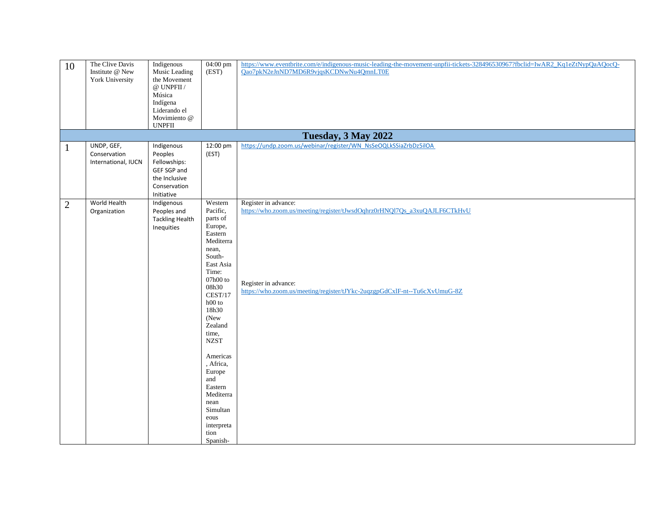| 10           | The Clive Davis<br>Institute @ New<br>York University | Indigenous<br>Music Leading<br>the Movement<br>$@$ UNPFII $/$<br>Música<br>Indígena<br>Liderando el<br>Movimiento @<br><b>UNPFII</b> | $04:00 \text{ pm}$<br>(EST)                                                                                                                                                                                                                                                                                                                   | https://www.eventbrite.com/e/indigenous-music-leading-the-movement-unpfii-tickets-328496530967?fbclid=IwAR2_Kq1eZtNypQaAQocQ-<br>Qao7pkN2eJnND7MD6R9vjqsKCDNwNu4QmnLT0E                                |
|--------------|-------------------------------------------------------|--------------------------------------------------------------------------------------------------------------------------------------|-----------------------------------------------------------------------------------------------------------------------------------------------------------------------------------------------------------------------------------------------------------------------------------------------------------------------------------------------|--------------------------------------------------------------------------------------------------------------------------------------------------------------------------------------------------------|
|              |                                                       |                                                                                                                                      |                                                                                                                                                                                                                                                                                                                                               | Tuesday, 3 May 2022                                                                                                                                                                                    |
| 1            | UNDP, GEF,<br>Conservation<br>International, IUCN     | Indigenous<br>Peoples<br>Fellowships:<br>GEF SGP and<br>the Inclusive<br>Conservation<br>Initiative                                  | 12:00 pm<br>(EST)                                                                                                                                                                                                                                                                                                                             | https://undp.zoom.us/webinar/register/WN_NsSeOQLkSSiaZrbDz5ilOA                                                                                                                                        |
| $\mathbf{2}$ | World Health<br>Organization                          | Indigenous<br>Peoples and<br><b>Tackling Health</b><br>Inequities                                                                    | Western<br>Pacific,<br>parts of<br>Europe,<br>Eastern<br>Mediterra<br>nean,<br>South-<br>East Asia<br>Time:<br>$07h00$ to<br>08h30<br>CEST/17<br>$h00$ to<br>18h30<br>(New<br>Zealand<br>time,<br><b>NZST</b><br>Americas<br>, Africa,<br>Europe<br>and<br>Eastern<br>Mediterra<br>nean<br>Simultan<br>eous<br>interpreta<br>tion<br>Spanish- | Register in advance:<br>https://who.zoom.us/meeting/register/tJwsdOqhrz0rHNQl7Qs_a3xuQAJLF6CTkHvU<br>Register in advance:<br>https://who.zoom.us/meeting/register/tJYkc-2uqzgpGdCxIF-nt--Tu6cXvUmuG-8Z |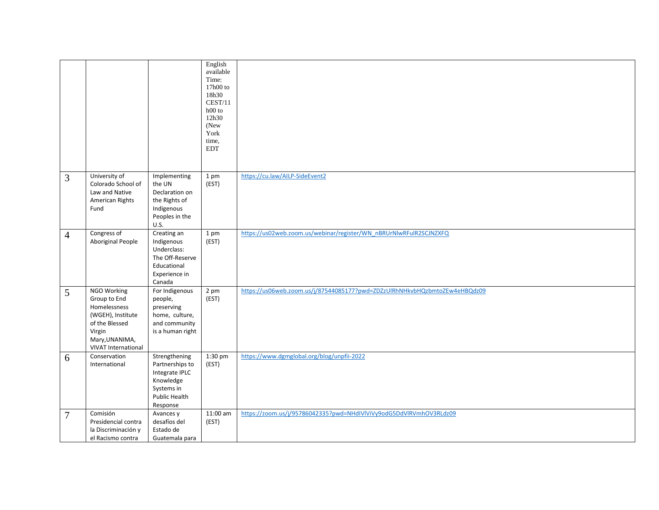|                |                                                                                                                                              |                                                                                                            | English<br>available<br>Time:<br>17h00 to<br>18h30<br>CEST/11<br>$h00$ to<br>12h30<br>(New<br>York<br>time,<br>$\operatorname{EDT}$ |                                                                            |
|----------------|----------------------------------------------------------------------------------------------------------------------------------------------|------------------------------------------------------------------------------------------------------------|-------------------------------------------------------------------------------------------------------------------------------------|----------------------------------------------------------------------------|
| 3              | University of<br>Colorado School of<br>Law and Native<br>American Rights<br>Fund                                                             | Implementing<br>the UN<br>Declaration on<br>the Rights of<br>Indigenous<br>Peoples in the<br>U.S.          | 1 pm<br>(EST)                                                                                                                       | https://cu.law/AILP-SideEvent2                                             |
| $\overline{4}$ | Congress of<br>Aboriginal People                                                                                                             | Creating an<br>Indigenous<br>Underclass:<br>The Off-Reserve<br>Educational<br>Experience in<br>Canada      | 1 pm<br>(EST)                                                                                                                       | https://us02web.zoom.us/webinar/register/WN_nBRUrNIwRFulR2SCJNZXFQ         |
| 5              | NGO Working<br>Group to End<br>Homelessness<br>(WGEH), Institute<br>of the Blessed<br>Virgin<br>Mary, UNANIMA,<br><b>VIVAT International</b> | For Indigenous<br>people,<br>preserving<br>home, culture,<br>and community<br>is a human right             | 2 pm<br>(EST)                                                                                                                       | https://us06web.zoom.us/j/87544085177?pwd=ZDZzUlRhNHkvbHQzbmtoZEw4eHBQdz09 |
| 6              | Conservation<br>International                                                                                                                | Strengthening<br>Partnerships to<br>Integrate IPLC<br>Knowledge<br>Systems in<br>Public Health<br>Response | 1:30 pm<br>(EST)                                                                                                                    | https://www.dgmglobal.org/blog/unpfii-2022                                 |
| 7              | Comisión<br>Presidencial contra<br>la Discriminación y<br>el Racismo contra                                                                  | Avances y<br>desafíos del<br>Estado de<br>Guatemala para                                                   | 11:00 am<br>(EST)                                                                                                                   | https://zoom.us/j/95786042335?pwd=NHdIVlViVy9odG5DdVlRVmhOV3RLdz09         |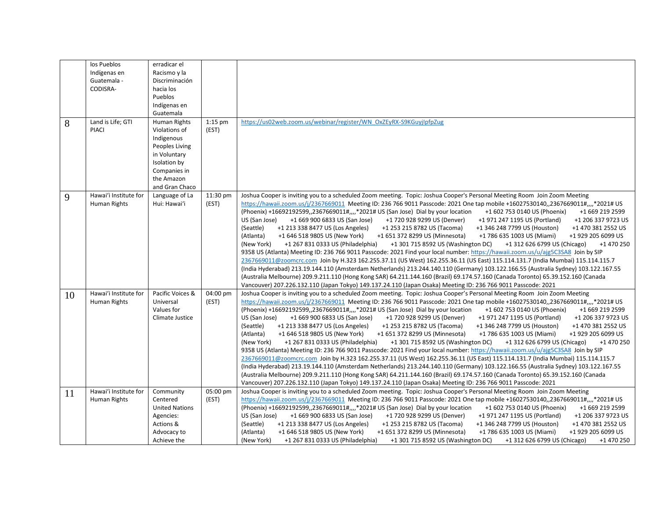|    | los Pueblos                                  | erradicar el                                                   |                   |                                                                                                                                                                                                                                                                                                                                                                                                                                                                                                                                                                                                                                                                                                                                                                                                                                                                                                                                                                                                                                                                                                                                                                                                                                                                                                                                                                                                                                                                                                                                                                                                                                    |
|----|----------------------------------------------|----------------------------------------------------------------|-------------------|------------------------------------------------------------------------------------------------------------------------------------------------------------------------------------------------------------------------------------------------------------------------------------------------------------------------------------------------------------------------------------------------------------------------------------------------------------------------------------------------------------------------------------------------------------------------------------------------------------------------------------------------------------------------------------------------------------------------------------------------------------------------------------------------------------------------------------------------------------------------------------------------------------------------------------------------------------------------------------------------------------------------------------------------------------------------------------------------------------------------------------------------------------------------------------------------------------------------------------------------------------------------------------------------------------------------------------------------------------------------------------------------------------------------------------------------------------------------------------------------------------------------------------------------------------------------------------------------------------------------------------|
|    | Indígenas en                                 | Racismo y la                                                   |                   |                                                                                                                                                                                                                                                                                                                                                                                                                                                                                                                                                                                                                                                                                                                                                                                                                                                                                                                                                                                                                                                                                                                                                                                                                                                                                                                                                                                                                                                                                                                                                                                                                                    |
|    | Guatemala -                                  | Discriminación                                                 |                   |                                                                                                                                                                                                                                                                                                                                                                                                                                                                                                                                                                                                                                                                                                                                                                                                                                                                                                                                                                                                                                                                                                                                                                                                                                                                                                                                                                                                                                                                                                                                                                                                                                    |
|    | CODISRA-                                     | hacia los                                                      |                   |                                                                                                                                                                                                                                                                                                                                                                                                                                                                                                                                                                                                                                                                                                                                                                                                                                                                                                                                                                                                                                                                                                                                                                                                                                                                                                                                                                                                                                                                                                                                                                                                                                    |
|    |                                              | Pueblos                                                        |                   |                                                                                                                                                                                                                                                                                                                                                                                                                                                                                                                                                                                                                                                                                                                                                                                                                                                                                                                                                                                                                                                                                                                                                                                                                                                                                                                                                                                                                                                                                                                                                                                                                                    |
|    |                                              | Indígenas en                                                   |                   |                                                                                                                                                                                                                                                                                                                                                                                                                                                                                                                                                                                                                                                                                                                                                                                                                                                                                                                                                                                                                                                                                                                                                                                                                                                                                                                                                                                                                                                                                                                                                                                                                                    |
|    |                                              | Guatemala                                                      |                   |                                                                                                                                                                                                                                                                                                                                                                                                                                                                                                                                                                                                                                                                                                                                                                                                                                                                                                                                                                                                                                                                                                                                                                                                                                                                                                                                                                                                                                                                                                                                                                                                                                    |
|    | Land is Life; GTI                            | Human Rights                                                   | $1:15$ pm         | https://us02web.zoom.us/webinar/register/WN_OxZEyRX-S9KGuyjIpfpZug                                                                                                                                                                                                                                                                                                                                                                                                                                                                                                                                                                                                                                                                                                                                                                                                                                                                                                                                                                                                                                                                                                                                                                                                                                                                                                                                                                                                                                                                                                                                                                 |
| 8  | PIACI                                        | Violations of                                                  | (EST)             |                                                                                                                                                                                                                                                                                                                                                                                                                                                                                                                                                                                                                                                                                                                                                                                                                                                                                                                                                                                                                                                                                                                                                                                                                                                                                                                                                                                                                                                                                                                                                                                                                                    |
|    |                                              | Indigenous                                                     |                   |                                                                                                                                                                                                                                                                                                                                                                                                                                                                                                                                                                                                                                                                                                                                                                                                                                                                                                                                                                                                                                                                                                                                                                                                                                                                                                                                                                                                                                                                                                                                                                                                                                    |
|    |                                              | Peoples Living                                                 |                   |                                                                                                                                                                                                                                                                                                                                                                                                                                                                                                                                                                                                                                                                                                                                                                                                                                                                                                                                                                                                                                                                                                                                                                                                                                                                                                                                                                                                                                                                                                                                                                                                                                    |
|    |                                              |                                                                |                   |                                                                                                                                                                                                                                                                                                                                                                                                                                                                                                                                                                                                                                                                                                                                                                                                                                                                                                                                                                                                                                                                                                                                                                                                                                                                                                                                                                                                                                                                                                                                                                                                                                    |
|    |                                              | in Voluntary                                                   |                   |                                                                                                                                                                                                                                                                                                                                                                                                                                                                                                                                                                                                                                                                                                                                                                                                                                                                                                                                                                                                                                                                                                                                                                                                                                                                                                                                                                                                                                                                                                                                                                                                                                    |
|    |                                              | Isolation by                                                   |                   |                                                                                                                                                                                                                                                                                                                                                                                                                                                                                                                                                                                                                                                                                                                                                                                                                                                                                                                                                                                                                                                                                                                                                                                                                                                                                                                                                                                                                                                                                                                                                                                                                                    |
|    |                                              | Companies in                                                   |                   |                                                                                                                                                                                                                                                                                                                                                                                                                                                                                                                                                                                                                                                                                                                                                                                                                                                                                                                                                                                                                                                                                                                                                                                                                                                                                                                                                                                                                                                                                                                                                                                                                                    |
|    |                                              | the Amazon                                                     |                   |                                                                                                                                                                                                                                                                                                                                                                                                                                                                                                                                                                                                                                                                                                                                                                                                                                                                                                                                                                                                                                                                                                                                                                                                                                                                                                                                                                                                                                                                                                                                                                                                                                    |
|    |                                              | and Gran Chaco                                                 |                   |                                                                                                                                                                                                                                                                                                                                                                                                                                                                                                                                                                                                                                                                                                                                                                                                                                                                                                                                                                                                                                                                                                                                                                                                                                                                                                                                                                                                                                                                                                                                                                                                                                    |
| 9  | Hawai'i Institute for<br><b>Human Rights</b> | Language of La<br>Hui: Hawai'i                                 | 11:30 pm<br>(EST) | Joshua Cooper is inviting you to a scheduled Zoom meeting. Topic: Joshua Cooper's Personal Meeting Room Join Zoom Meeting<br>https://hawaii.zoom.us/j/2367669011 Meeting ID: 236 766 9011 Passcode: 2021 One tap mobile +16027530140,,2367669011#,,,,*2021# US<br>(Phoenix) +16692192599,,2367669011#,,,,*2021# US (San Jose) Dial by your location<br>+1 602 753 0140 US (Phoenix)<br>+1 669 219 2599<br>US (San Jose)<br>+1 669 900 6833 US (San Jose)<br>+1 720 928 9299 US (Denver)<br>+1 971 247 1195 US (Portland)<br>+1 206 337 9723 US                                                                                                                                                                                                                                                                                                                                                                                                                                                                                                                                                                                                                                                                                                                                                                                                                                                                                                                                                                                                                                                                                     |
|    |                                              |                                                                |                   | (Seattle)<br>+1 213 338 8477 US (Los Angeles)<br>+1 346 248 7799 US (Houston)<br>+1 253 215 8782 US (Tacoma)<br>+1 470 381 2552 US<br>+1 646 518 9805 US (New York)<br>+1 786 635 1003 US (Miami)<br>(Atlanta)<br>+1 651 372 8299 US (Minnesota)<br>+1 929 205 6099 US<br>(New York)<br>+1 267 831 0333 US (Philadelphia)<br>+1 301 715 8592 US (Washington DC)<br>+1 312 626 6799 US (Chicago)<br>+1 470 250<br>9358 US (Atlanta) Meeting ID: 236 766 9011 Passcode: 2021 Find your local number: https://hawaii.zoom.us/u/ajg5C3SA8 Join by SIP<br>2367669011@zoomcrc.com Join by H.323 162.255.37.11 (US West) 162.255.36.11 (US East) 115.114.131.7 (India Mumbai) 115.114.115.7<br>(India Hyderabad) 213.19.144.110 (Amsterdam Netherlands) 213.244.140.110 (Germany) 103.122.166.55 (Australia Sydney) 103.122.167.55                                                                                                                                                                                                                                                                                                                                                                                                                                                                                                                                                                                                                                                                                                                                                                                                        |
|    |                                              |                                                                |                   | (Australia Melbourne) 209.9.211.110 (Hong Kong SAR) 64.211.144.160 (Brazil) 69.174.57.160 (Canada Toronto) 65.39.152.160 (Canada<br>Vancouver) 207.226.132.110 (Japan Tokyo) 149.137.24.110 (Japan Osaka) Meeting ID: 236 766 9011 Passcode: 2021                                                                                                                                                                                                                                                                                                                                                                                                                                                                                                                                                                                                                                                                                                                                                                                                                                                                                                                                                                                                                                                                                                                                                                                                                                                                                                                                                                                  |
| 10 | Hawai'i Institute for<br>Human Rights        | Pacific Voices &<br>Universal<br>Values for<br>Climate Justice | 04:00 pm<br>(EST) | Joshua Cooper is inviting you to a scheduled Zoom meeting. Topic: Joshua Cooper's Personal Meeting Room Join Zoom Meeting<br>https://hawaii.zoom.us/j/2367669011 Meeting ID: 236 766 9011 Passcode: 2021 One tap mobile +16027530140,,2367669011#,,,,*2021# US<br>(Phoenix) +16692192599,,2367669011#,,,,*2021# US (San Jose) Dial by your location<br>+1 669 219 2599<br>+1 602 753 0140 US (Phoenix)<br>US (San Jose)<br>+1 669 900 6833 US (San Jose)<br>+1 720 928 9299 US (Denver)<br>+1 971 247 1195 US (Portland)<br>+1 206 337 9723 US<br>(Seattle)<br>+1 213 338 8477 US (Los Angeles)<br>+1 253 215 8782 US (Tacoma)<br>+1 346 248 7799 US (Houston)<br>+1 470 381 2552 US<br>(Atlanta)<br>+1 646 518 9805 US (New York)<br>+1 651 372 8299 US (Minnesota)<br>+1 786 635 1003 US (Miami)<br>+1 929 205 6099 US<br>(New York)<br>+1 267 831 0333 US (Philadelphia)<br>+1 301 715 8592 US (Washington DC)<br>+1 312 626 6799 US (Chicago)<br>+1 470 250<br>9358 US (Atlanta) Meeting ID: 236 766 9011 Passcode: 2021 Find your local number: https://hawaii.zoom.us/u/ajg5C3SA8 Join by SIP<br>2367669011@zoomcrc.com Join by H.323 162.255.37.11 (US West) 162.255.36.11 (US East) 115.114.131.7 (India Mumbai) 115.114.115.7<br>(India Hyderabad) 213.19.144.110 (Amsterdam Netherlands) 213.244.140.110 (Germany) 103.122.166.55 (Australia Sydney) 103.122.167.55<br>(Australia Melbourne) 209.9.211.110 (Hong Kong SAR) 64.211.144.160 (Brazil) 69.174.57.160 (Canada Toronto) 65.39.152.160 (Canada<br>Vancouver) 207.226.132.110 (Japan Tokyo) 149.137.24.110 (Japan Osaka) Meeting ID: 236 766 9011 Passcode: 2021 |
| 11 | Hawai'i Institute for                        | Community                                                      | 05:00 pm          | Joshua Cooper is inviting you to a scheduled Zoom meeting. Topic: Joshua Cooper's Personal Meeting Room Join Zoom Meeting                                                                                                                                                                                                                                                                                                                                                                                                                                                                                                                                                                                                                                                                                                                                                                                                                                                                                                                                                                                                                                                                                                                                                                                                                                                                                                                                                                                                                                                                                                          |
|    | Human Rights                                 | Centered<br><b>United Nations</b><br>Agencies:                 | (EST)             | https://hawaii.zoom.us/j/2367669011 Meeting ID: 236 766 9011 Passcode: 2021 One tap mobile +16027530140,,2367669011#,,,,*2021# US<br>(Phoenix) +16692192599,,2367669011#,,,,*2021# US (San Jose) Dial by your location<br>+1 602 753 0140 US (Phoenix)<br>+1 669 219 2599<br>US (San Jose)<br>+1 669 900 6833 US (San Jose)<br>+1 720 928 9299 US (Denver)<br>+1 971 247 1195 US (Portland)<br>+1 206 337 9723 US                                                                                                                                                                                                                                                                                                                                                                                                                                                                                                                                                                                                                                                                                                                                                                                                                                                                                                                                                                                                                                                                                                                                                                                                                  |
|    |                                              | Actions &                                                      |                   | (Seattle)<br>+1 213 338 8477 US (Los Angeles)<br>+1 253 215 8782 US (Tacoma)<br>+1 346 248 7799 US (Houston)                                                                                                                                                                                                                                                                                                                                                                                                                                                                                                                                                                                                                                                                                                                                                                                                                                                                                                                                                                                                                                                                                                                                                                                                                                                                                                                                                                                                                                                                                                                       |
|    |                                              |                                                                |                   | +1 470 381 2552 US                                                                                                                                                                                                                                                                                                                                                                                                                                                                                                                                                                                                                                                                                                                                                                                                                                                                                                                                                                                                                                                                                                                                                                                                                                                                                                                                                                                                                                                                                                                                                                                                                 |
|    |                                              | Advocacy to<br>Achieve the                                     |                   | (Atlanta)<br>+1 646 518 9805 US (New York)<br>+1 651 372 8299 US (Minnesota)<br>+1 786 635 1003 US (Miami)<br>+1 929 205 6099 US<br>(New York)<br>+1 267 831 0333 US (Philadelphia)<br>+1 301 715 8592 US (Washington DC)<br>+1 312 626 6799 US (Chicago)<br>+1 470 250                                                                                                                                                                                                                                                                                                                                                                                                                                                                                                                                                                                                                                                                                                                                                                                                                                                                                                                                                                                                                                                                                                                                                                                                                                                                                                                                                            |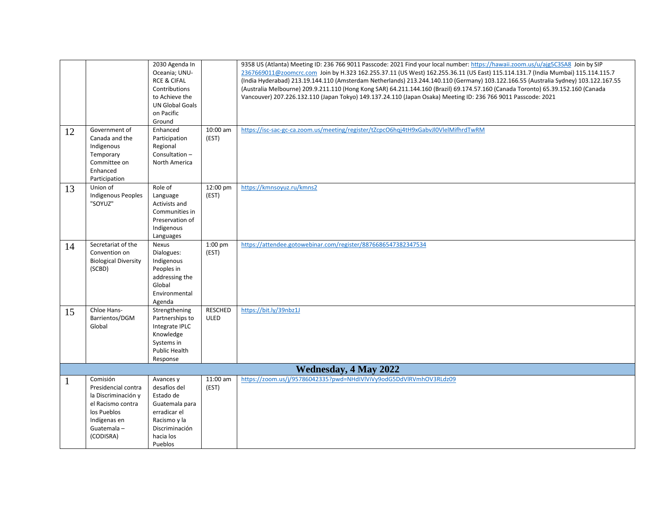| 12 | Government of<br>Canada and the<br>Indigenous<br>Temporary<br>Committee on<br>Enhanced<br>Participation                               | 2030 Agenda In<br>Oceania; UNU-<br><b>RCE &amp; CIFAL</b><br>Contributions<br>to Achieve the<br><b>UN Global Goals</b><br>on Pacific<br>Ground<br>Enhanced<br>Participation<br>Regional<br>Consultation-<br>North America | 10:00 am<br>(EST)             | 9358 US (Atlanta) Meeting ID: 236 766 9011 Passcode: 2021 Find your local number: https://hawaii.zoom.us/u/ajg5C3SA8 Join by SIP<br>2367669011@zoomcrc.com Join by H.323 162.255.37.11 (US West) 162.255.36.11 (US East) 115.114.131.7 (India Mumbai) 115.114.115.7<br>(India Hyderabad) 213.19.144.110 (Amsterdam Netherlands) 213.244.140.110 (Germany) 103.122.166.55 (Australia Sydney) 103.122.167.55<br>(Australia Melbourne) 209.9.211.110 (Hong Kong SAR) 64.211.144.160 (Brazil) 69.174.57.160 (Canada Toronto) 65.39.152.160 (Canada<br>Vancouver) 207.226.132.110 (Japan Tokyo) 149.137.24.110 (Japan Osaka) Meeting ID: 236 766 9011 Passcode: 2021<br>https://isc-sac-gc-ca.zoom.us/meeting/register/tZcpcO6hqj4tH9xGabvJl0VlelMifhrdTwRM |
|----|---------------------------------------------------------------------------------------------------------------------------------------|---------------------------------------------------------------------------------------------------------------------------------------------------------------------------------------------------------------------------|-------------------------------|--------------------------------------------------------------------------------------------------------------------------------------------------------------------------------------------------------------------------------------------------------------------------------------------------------------------------------------------------------------------------------------------------------------------------------------------------------------------------------------------------------------------------------------------------------------------------------------------------------------------------------------------------------------------------------------------------------------------------------------------------------|
| 13 | Union of<br><b>Indigenous Peoples</b><br>"SOYUZ"                                                                                      | Role of<br>Language<br>Activists and<br>Communities in<br>Preservation of<br>Indigenous<br>Languages                                                                                                                      | 12:00 pm<br>(EST)             | https://kmnsoyuz.ru/kmns2                                                                                                                                                                                                                                                                                                                                                                                                                                                                                                                                                                                                                                                                                                                              |
| 14 | Secretariat of the<br>Convention on<br><b>Biological Diversity</b><br>(SCBD)                                                          | Nexus<br>Dialogues:<br>Indigenous<br>Peoples in<br>addressing the<br>Global<br>Environmental<br>Agenda                                                                                                                    | 1:00 pm<br>(EST)              | https://attendee.gotowebinar.com/register/8876686547382347534                                                                                                                                                                                                                                                                                                                                                                                                                                                                                                                                                                                                                                                                                          |
| 15 | Chloe Hans-<br>Barrientos/DGM<br>Global                                                                                               | Strengthening<br>Partnerships to<br>Integrate IPLC<br>Knowledge<br>Systems in<br><b>Public Health</b><br>Response                                                                                                         | <b>RESCHED</b><br><b>ULED</b> | https://bit.ly/39nbz1J                                                                                                                                                                                                                                                                                                                                                                                                                                                                                                                                                                                                                                                                                                                                 |
|    |                                                                                                                                       |                                                                                                                                                                                                                           |                               | <b>Wednesday, 4 May 2022</b>                                                                                                                                                                                                                                                                                                                                                                                                                                                                                                                                                                                                                                                                                                                           |
|    | Comisión<br>Presidencial contra<br>la Discriminación y<br>el Racismo contra<br>los Pueblos<br>Indígenas en<br>Guatemala-<br>(CODISRA) | Avances y<br>desafíos del<br>Estado de<br>Guatemala para<br>erradicar el<br>Racismo y la<br>Discriminación<br>hacia los<br>Pueblos                                                                                        | 11:00 am<br>(EST)             | https://zoom.us/j/95786042335?pwd=NHdIVlViVy9odG5DdVlRVmhOV3RLdz09                                                                                                                                                                                                                                                                                                                                                                                                                                                                                                                                                                                                                                                                                     |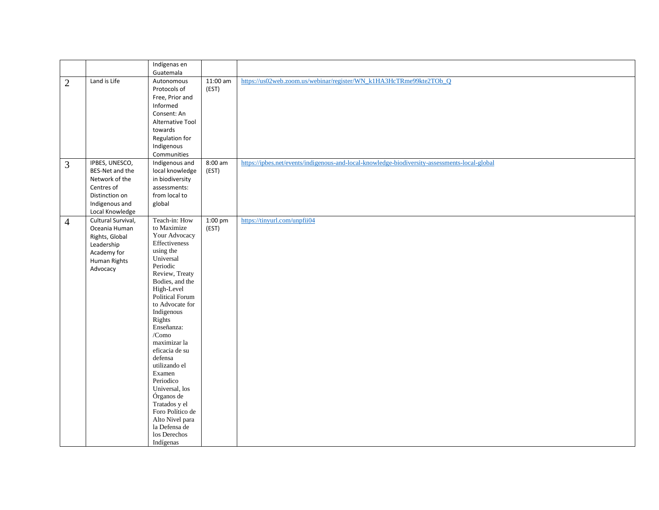|                |                     | Indígenas en                |            |                                                                                               |
|----------------|---------------------|-----------------------------|------------|-----------------------------------------------------------------------------------------------|
|                |                     | Guatemala                   |            |                                                                                               |
| $\overline{2}$ | Land is Life        | Autonomous                  | $11:00$ am | https://us02web.zoom.us/webinar/register/WN_k1HA3HcTRme99kte2TOb_Q                            |
|                |                     | Protocols of                | (EST)      |                                                                                               |
|                |                     | Free, Prior and             |            |                                                                                               |
|                |                     | Informed                    |            |                                                                                               |
|                |                     | Consent: An                 |            |                                                                                               |
|                |                     | Alternative Tool            |            |                                                                                               |
|                |                     | towards                     |            |                                                                                               |
|                |                     | Regulation for              |            |                                                                                               |
|                |                     | Indigenous                  |            |                                                                                               |
|                |                     | Communities                 |            |                                                                                               |
| 3              | IPBES, UNESCO,      | Indigenous and              | 8:00 am    | https://ipbes.net/events/indigenous-and-local-knowledge-biodiversity-assessments-local-global |
|                | BES-Net and the     | local knowledge             | (EST)      |                                                                                               |
|                | Network of the      | in biodiversity             |            |                                                                                               |
|                | Centres of          | assessments:                |            |                                                                                               |
|                | Distinction on      | from local to               |            |                                                                                               |
|                | Indigenous and      | global                      |            |                                                                                               |
|                | Local Knowledge     |                             |            |                                                                                               |
|                | Cultural Survival,  | Teach-in: How               | 1:00 pm    | https://tinyurl.com/unpfii04                                                                  |
| $\overline{4}$ | Oceania Human       | to Maximize                 | (EST)      |                                                                                               |
|                | Rights, Global      | Your Advocacy               |            |                                                                                               |
|                | Leadership          | Effectiveness               |            |                                                                                               |
|                | Academy for         | using the                   |            |                                                                                               |
|                |                     | Universal                   |            |                                                                                               |
|                | <b>Human Rights</b> | Periodic                    |            |                                                                                               |
|                | Advocacy            | Review, Treaty              |            |                                                                                               |
|                |                     | Bodies, and the             |            |                                                                                               |
|                |                     | High-Level                  |            |                                                                                               |
|                |                     | <b>Political Forum</b>      |            |                                                                                               |
|                |                     | to Advocate for             |            |                                                                                               |
|                |                     | Indigenous                  |            |                                                                                               |
|                |                     | Rights                      |            |                                                                                               |
|                |                     | Enseñanza:                  |            |                                                                                               |
|                |                     | /Como                       |            |                                                                                               |
|                |                     | maximizar la                |            |                                                                                               |
|                |                     | eficacia de su              |            |                                                                                               |
|                |                     | defensa                     |            |                                                                                               |
|                |                     | utilizando el               |            |                                                                                               |
|                |                     | Examen                      |            |                                                                                               |
|                |                     | Periodico                   |            |                                                                                               |
|                |                     | Universal, los              |            |                                                                                               |
|                |                     | Órganos de<br>Tratados y el |            |                                                                                               |
|                |                     | Foro Político de            |            |                                                                                               |
|                |                     | Alto Nivel para             |            |                                                                                               |
|                |                     | la Defensa de               |            |                                                                                               |
|                |                     | los Derechos                |            |                                                                                               |
|                |                     | Indígenas                   |            |                                                                                               |
|                |                     |                             |            |                                                                                               |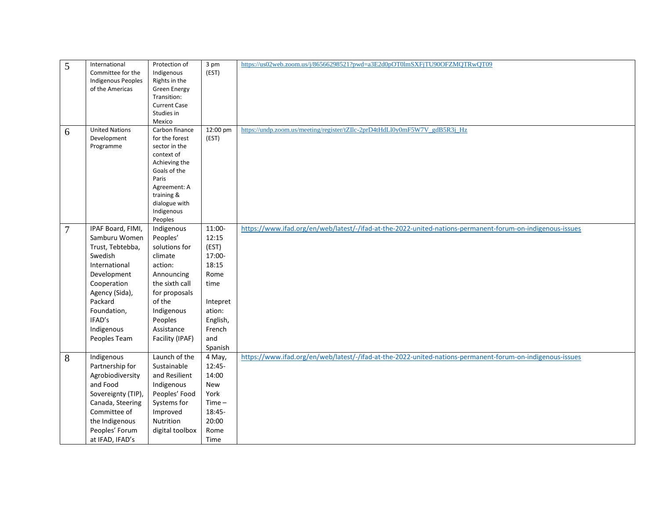| 5              | International             | Protection of        | 3 pm     | https://us02web.zoom.us/j/86566298521?pwd=a3E2d0pOT0lmSXFjTU90OFZMQTRwQT09                                |
|----------------|---------------------------|----------------------|----------|-----------------------------------------------------------------------------------------------------------|
|                | Committee for the         | Indigenous           | (EST)    |                                                                                                           |
|                | <b>Indigenous Peoples</b> | Rights in the        |          |                                                                                                           |
|                | of the Americas           | <b>Green Energy</b>  |          |                                                                                                           |
|                |                           | Transition:          |          |                                                                                                           |
|                |                           | <b>Current Case</b>  |          |                                                                                                           |
|                |                           | Studies in<br>Mexico |          |                                                                                                           |
|                | <b>United Nations</b>     | Carbon finance       | 12:00 pm | https://undp.zoom.us/meeting/register/tZIlc-2prD4tHdLl0y0mF5W7V_gdB5R3j_Hz                                |
| 6              | Development               | for the forest       | (EST)    |                                                                                                           |
|                | Programme                 | sector in the        |          |                                                                                                           |
|                |                           | context of           |          |                                                                                                           |
|                |                           | Achieving the        |          |                                                                                                           |
|                |                           | Goals of the         |          |                                                                                                           |
|                |                           | Paris                |          |                                                                                                           |
|                |                           | Agreement: A         |          |                                                                                                           |
|                |                           | training &           |          |                                                                                                           |
|                |                           | dialogue with        |          |                                                                                                           |
|                |                           | Indigenous           |          |                                                                                                           |
|                | IPAF Board, FIMI,         | Peoples              | 11:00-   | https://www.ifad.org/en/web/latest/-/ifad-at-the-2022-united-nations-permanent-forum-on-indigenous-issues |
| $\overline{7}$ |                           | Indigenous           |          |                                                                                                           |
|                | Samburu Women             | Peoples'             | 12:15    |                                                                                                           |
|                | Trust, Tebtebba,          | solutions for        | (EST)    |                                                                                                           |
|                | Swedish                   | climate              | 17:00-   |                                                                                                           |
|                | International             | action:              | 18:15    |                                                                                                           |
|                | Development               | Announcing           | Rome     |                                                                                                           |
|                | Cooperation               | the sixth call       | time     |                                                                                                           |
|                | Agency (Sida),            | for proposals        |          |                                                                                                           |
|                | Packard                   | of the               | Intepret |                                                                                                           |
|                | Foundation,               | Indigenous           | ation:   |                                                                                                           |
|                | IFAD's                    | Peoples              | English, |                                                                                                           |
|                | Indigenous                | Assistance           | French   |                                                                                                           |
|                | Peoples Team              | Facility (IPAF)      | and      |                                                                                                           |
|                |                           |                      | Spanish  |                                                                                                           |
| 8              | Indigenous                | Launch of the        | 4 May,   | https://www.ifad.org/en/web/latest/-/ifad-at-the-2022-united-nations-permanent-forum-on-indigenous-issues |
|                | Partnership for           | Sustainable          | $12:45-$ |                                                                                                           |
|                | Agrobiodiversity          | and Resilient        | 14:00    |                                                                                                           |
|                | and Food                  | Indigenous           | New      |                                                                                                           |
|                | Sovereignty (TIP),        | Peoples' Food        | York     |                                                                                                           |
|                | Canada, Steering          | Systems for          | $Time -$ |                                                                                                           |
|                | Committee of              | Improved             | 18:45-   |                                                                                                           |
|                | the Indigenous            | Nutrition            | 20:00    |                                                                                                           |
|                | Peoples' Forum            | digital toolbox      | Rome     |                                                                                                           |
|                | at IFAD, IFAD's           |                      | Time     |                                                                                                           |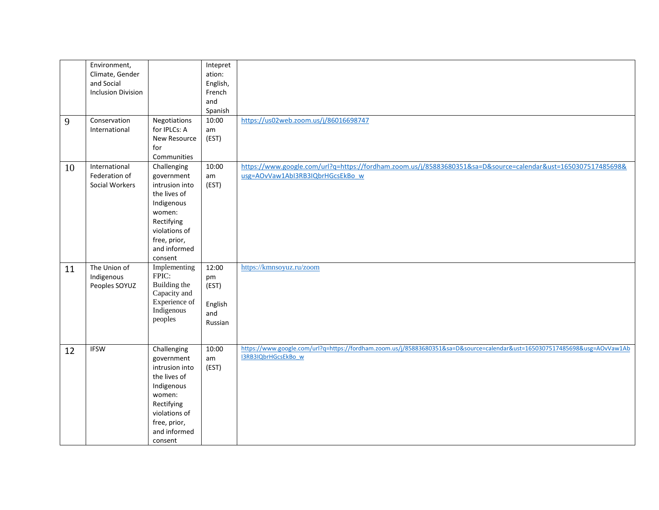|    | Environment,              |                | <b>Intepret</b> |                                                                                                                                                   |
|----|---------------------------|----------------|-----------------|---------------------------------------------------------------------------------------------------------------------------------------------------|
|    | Climate, Gender           |                | ation:          |                                                                                                                                                   |
|    | and Social                |                | English,        |                                                                                                                                                   |
|    | <b>Inclusion Division</b> |                | French          |                                                                                                                                                   |
|    |                           |                | and             |                                                                                                                                                   |
|    |                           |                | Spanish         |                                                                                                                                                   |
| 9  | Conservation              | Negotiations   | 10:00           | https://us02web.zoom.us/j/86016698747                                                                                                             |
|    | International             | for IPLCs: A   | am              |                                                                                                                                                   |
|    |                           | New Resource   | (EST)           |                                                                                                                                                   |
|    |                           | for            |                 |                                                                                                                                                   |
|    |                           | Communities    |                 |                                                                                                                                                   |
| 10 | International             | Challenging    | 10:00           | https://www.google.com/url?q=https://fordham.zoom.us/j/85883680351&sa=D&source=calendar&ust=1650307517485698&                                     |
|    | Federation of             | government     | am              | usg=AOvVaw1Abl3RB3IQbrHGcsEkBo w                                                                                                                  |
|    | Social Workers            | intrusion into | (EST)           |                                                                                                                                                   |
|    |                           | the lives of   |                 |                                                                                                                                                   |
|    |                           | Indigenous     |                 |                                                                                                                                                   |
|    |                           | women:         |                 |                                                                                                                                                   |
|    |                           | Rectifying     |                 |                                                                                                                                                   |
|    |                           | violations of  |                 |                                                                                                                                                   |
|    |                           | free, prior,   |                 |                                                                                                                                                   |
|    |                           | and informed   |                 |                                                                                                                                                   |
|    |                           | consent        |                 |                                                                                                                                                   |
| 11 | The Union of              | Implementing   | 12:00           | https://kmnsoyuz.ru/zoom                                                                                                                          |
|    | Indigenous                | FPIC:          | pm              |                                                                                                                                                   |
|    | Peoples SOYUZ             | Building the   | (EST)           |                                                                                                                                                   |
|    |                           | Capacity and   |                 |                                                                                                                                                   |
|    |                           | Experience of  | English         |                                                                                                                                                   |
|    |                           | Indigenous     | and             |                                                                                                                                                   |
|    |                           | peoples        | Russian         |                                                                                                                                                   |
|    |                           |                |                 |                                                                                                                                                   |
|    |                           |                |                 |                                                                                                                                                   |
| 12 | <b>IFSW</b>               | Challenging    | 10:00           | https://www.google.com/url?q=https://fordham.zoom.us/j/85883680351&sa=D&source=calendar&ust=1650307517485698&usg=AOvVaw1Ab<br>I3RB3IQbrHGcsEkBo_w |
|    |                           | government     | am              |                                                                                                                                                   |
|    |                           | intrusion into | (EST)           |                                                                                                                                                   |
|    |                           | the lives of   |                 |                                                                                                                                                   |
|    |                           | Indigenous     |                 |                                                                                                                                                   |
|    |                           | women:         |                 |                                                                                                                                                   |
|    |                           | Rectifying     |                 |                                                                                                                                                   |
|    |                           | violations of  |                 |                                                                                                                                                   |
|    |                           | free, prior,   |                 |                                                                                                                                                   |
|    |                           | and informed   |                 |                                                                                                                                                   |
|    |                           | consent        |                 |                                                                                                                                                   |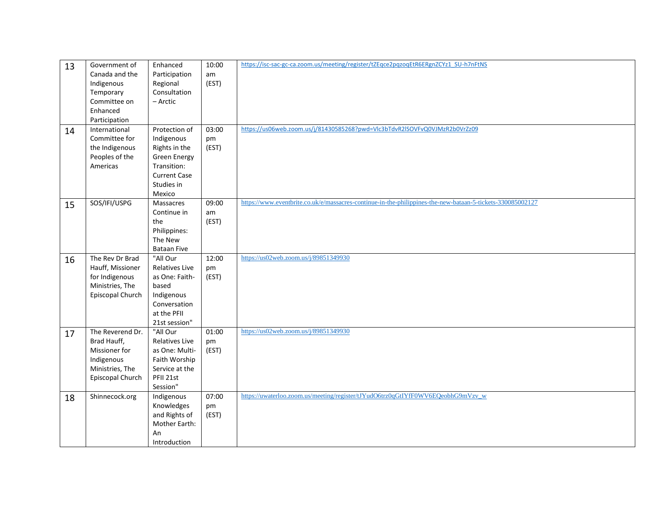| 13 | Government of    | Enhanced              | 10:00 | https://isc-sac-gc-ca.zoom.us/meeting/register/tZEqce2pqzoqEtR6ERgnZCYz1_SU-h7nFtNS                        |
|----|------------------|-----------------------|-------|------------------------------------------------------------------------------------------------------------|
|    | Canada and the   | Participation         | am    |                                                                                                            |
|    | Indigenous       | Regional              | (EST) |                                                                                                            |
|    | Temporary        | Consultation          |       |                                                                                                            |
|    | Committee on     | - Arctic              |       |                                                                                                            |
|    | Enhanced         |                       |       |                                                                                                            |
|    | Participation    |                       |       |                                                                                                            |
| 14 | International    | Protection of         | 03:00 | https://us06web.zoom.us/j/81430585268?pwd=Vlc3bTdvR2ISOVFvQ0VJMzR2b0VrZz09                                 |
|    | Committee for    | Indigenous            | pm    |                                                                                                            |
|    | the Indigenous   | Rights in the         | (EST) |                                                                                                            |
|    | Peoples of the   | <b>Green Energy</b>   |       |                                                                                                            |
|    | Americas         | Transition:           |       |                                                                                                            |
|    |                  | <b>Current Case</b>   |       |                                                                                                            |
|    |                  | Studies in            |       |                                                                                                            |
|    |                  | Mexico                |       |                                                                                                            |
| 15 | SOS/IFI/USPG     | Massacres             | 09:00 | https://www.eventbrite.co.uk/e/massacres-continue-in-the-philippines-the-new-bataan-5-tickets-330085002127 |
|    |                  | Continue in           | am    |                                                                                                            |
|    |                  | the                   | (EST) |                                                                                                            |
|    |                  | Philippines:          |       |                                                                                                            |
|    |                  | The New               |       |                                                                                                            |
|    |                  | <b>Bataan Five</b>    |       |                                                                                                            |
| 16 | The Rev Dr Brad  | "All Our              | 12:00 | https://us02web.zoom.us/j/89851349930                                                                      |
|    | Hauff, Missioner | <b>Relatives Live</b> | pm    |                                                                                                            |
|    | for Indigenous   | as One: Faith-        | (EST) |                                                                                                            |
|    | Ministries, The  | based                 |       |                                                                                                            |
|    | Episcopal Church | Indigenous            |       |                                                                                                            |
|    |                  | Conversation          |       |                                                                                                            |
|    |                  | at the PFII           |       |                                                                                                            |
|    |                  | 21st session"         |       |                                                                                                            |
| 17 | The Reverend Dr. | "All Our              | 01:00 | https://us02web.zoom.us/j/89851349930                                                                      |
|    | Brad Hauff,      | <b>Relatives Live</b> | pm    |                                                                                                            |
|    | Missioner for    | as One: Multi-        | (EST) |                                                                                                            |
|    | Indigenous       | Faith Worship         |       |                                                                                                            |
|    | Ministries, The  | Service at the        |       |                                                                                                            |
|    | Episcopal Church | PFII 21st             |       |                                                                                                            |
|    |                  | Session"              | 07:00 | https://uwaterloo.zoom.us/meeting/register/tJYudO6trz0qGtIYfF0WV6EQeobhG9mVzv_w                            |
| 18 | Shinnecock.org   | Indigenous            |       |                                                                                                            |
|    |                  | Knowledges            | pm    |                                                                                                            |
|    |                  | and Rights of         | (EST) |                                                                                                            |
|    |                  | Mother Earth:         |       |                                                                                                            |
|    |                  | An                    |       |                                                                                                            |
|    |                  | Introduction          |       |                                                                                                            |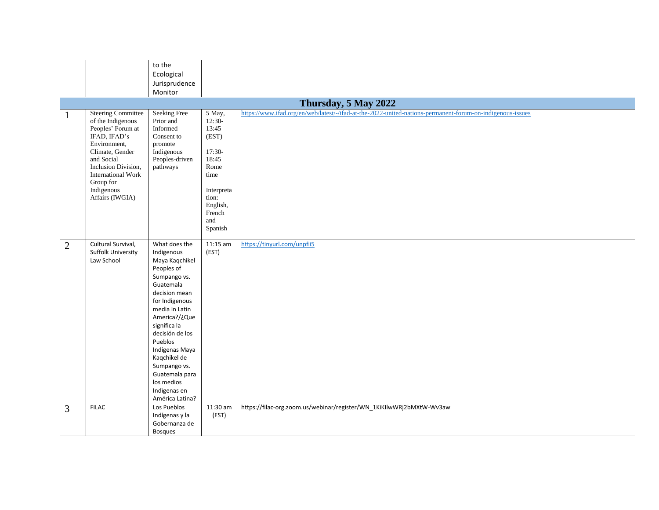|                |                                                                                                                                                                                                                                        | to the                                                                                                                                                                                                                                                                                                                            |                                                                                                                                          |                                                                                                           |
|----------------|----------------------------------------------------------------------------------------------------------------------------------------------------------------------------------------------------------------------------------------|-----------------------------------------------------------------------------------------------------------------------------------------------------------------------------------------------------------------------------------------------------------------------------------------------------------------------------------|------------------------------------------------------------------------------------------------------------------------------------------|-----------------------------------------------------------------------------------------------------------|
|                |                                                                                                                                                                                                                                        | Ecological                                                                                                                                                                                                                                                                                                                        |                                                                                                                                          |                                                                                                           |
|                |                                                                                                                                                                                                                                        | Jurisprudence                                                                                                                                                                                                                                                                                                                     |                                                                                                                                          |                                                                                                           |
|                |                                                                                                                                                                                                                                        | Monitor                                                                                                                                                                                                                                                                                                                           |                                                                                                                                          |                                                                                                           |
|                |                                                                                                                                                                                                                                        |                                                                                                                                                                                                                                                                                                                                   |                                                                                                                                          | Thursday, 5 May 2022                                                                                      |
| 1              | <b>Steering Committee</b><br>of the Indigenous<br>Peoples' Forum at<br>IFAD, IFAD's<br>Environment,<br>Climate, Gender<br>and Social<br>Inclusion Division,<br><b>International Work</b><br>Group for<br>Indigenous<br>Affairs (IWGIA) | <b>Seeking Free</b><br>Prior and<br>Informed<br>Consent to<br>promote<br>Indigenous<br>Peoples-driven<br>pathways                                                                                                                                                                                                                 | 5 May,<br>$12:30-$<br>13:45<br>(EST)<br>$17:30-$<br>18:45<br>Rome<br>time<br>Interpreta<br>tion:<br>English,<br>French<br>and<br>Spanish | https://www.ifad.org/en/web/latest/-/ifad-at-the-2022-united-nations-permanent-forum-on-indigenous-issues |
| $\overline{2}$ | Cultural Survival,<br>Suffolk University<br>Law School                                                                                                                                                                                 | What does the<br>Indigenous<br>Maya Kaqchikel<br>Peoples of<br>Sumpango vs.<br>Guatemala<br>decision mean<br>for Indigenous<br>media in Latin<br>America?/¿Que<br>significa la<br>decisión de los<br>Pueblos<br>Indígenas Maya<br>Kaqchikel de<br>Sumpango vs.<br>Guatemala para<br>los medios<br>Indigenas en<br>América Latina? | $11:15$ am<br>(EST)                                                                                                                      | https://tinyurl.com/unpfii5                                                                               |
| $\overline{3}$ | <b>FILAC</b>                                                                                                                                                                                                                           | Los Pueblos<br>Indígenas y la<br>Gobernanza de<br><b>Bosques</b>                                                                                                                                                                                                                                                                  | 11:30 am<br>(EST)                                                                                                                        | https://filac-org.zoom.us/webinar/register/WN_1KiKIlwWRj2bMXtW-Wv3aw                                      |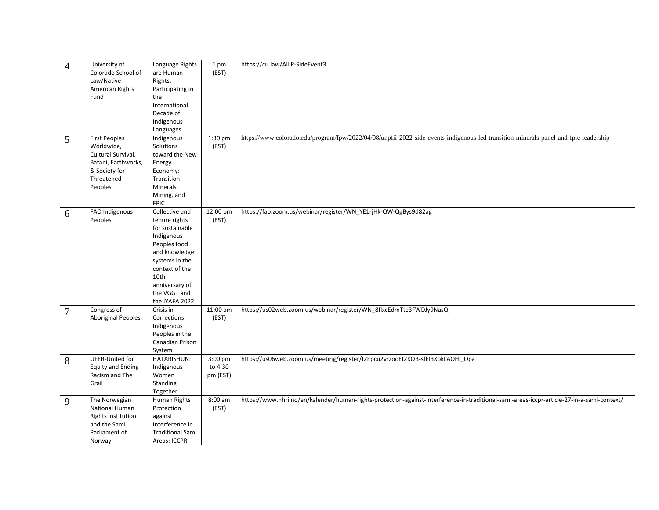| $\overline{4}$<br>5      | Colorado School of<br>Law/Native<br>American Rights<br>Fund<br><b>First Peoples</b>                          | are Human<br>Rights:<br>Participating in<br>the<br>International<br>Decade of<br>Indigenous<br>Languages                                                                     | (EST)                                    |                                                                                                                                                     |
|--------------------------|--------------------------------------------------------------------------------------------------------------|------------------------------------------------------------------------------------------------------------------------------------------------------------------------------|------------------------------------------|-----------------------------------------------------------------------------------------------------------------------------------------------------|
|                          |                                                                                                              |                                                                                                                                                                              |                                          |                                                                                                                                                     |
|                          |                                                                                                              |                                                                                                                                                                              |                                          |                                                                                                                                                     |
|                          |                                                                                                              |                                                                                                                                                                              |                                          |                                                                                                                                                     |
|                          |                                                                                                              |                                                                                                                                                                              |                                          |                                                                                                                                                     |
|                          |                                                                                                              |                                                                                                                                                                              |                                          |                                                                                                                                                     |
|                          |                                                                                                              |                                                                                                                                                                              |                                          |                                                                                                                                                     |
|                          |                                                                                                              |                                                                                                                                                                              |                                          |                                                                                                                                                     |
|                          |                                                                                                              |                                                                                                                                                                              |                                          |                                                                                                                                                     |
|                          |                                                                                                              | Indigenous                                                                                                                                                                   | 1:30 pm                                  | https://www.colorado.edu/program/fpw/2022/04/08/unpfii-2022-side-events-indigenous-led-transition-minerals-panel-and-fpic-leadership                |
|                          | Worldwide,                                                                                                   | Solutions                                                                                                                                                                    | (EST)                                    |                                                                                                                                                     |
|                          | Cultural Survival,                                                                                           | toward the New                                                                                                                                                               |                                          |                                                                                                                                                     |
|                          | Batani, Earthworks,                                                                                          | Energy                                                                                                                                                                       |                                          |                                                                                                                                                     |
|                          | & Society for                                                                                                | Economy:                                                                                                                                                                     |                                          |                                                                                                                                                     |
|                          | Threatened                                                                                                   | Transition                                                                                                                                                                   |                                          |                                                                                                                                                     |
|                          | Peoples                                                                                                      | Minerals,                                                                                                                                                                    |                                          |                                                                                                                                                     |
|                          |                                                                                                              | Mining, and                                                                                                                                                                  |                                          |                                                                                                                                                     |
|                          |                                                                                                              | <b>FPIC</b>                                                                                                                                                                  |                                          |                                                                                                                                                     |
|                          | FAO Indigenous                                                                                               | Collective and                                                                                                                                                               | 12:00 pm                                 | https://fao.zoom.us/webinar/register/WN_YE1rjHk-QW-QgBys9d82ag                                                                                      |
| 6                        |                                                                                                              | tenure rights                                                                                                                                                                | (EST)                                    |                                                                                                                                                     |
|                          | Peoples                                                                                                      |                                                                                                                                                                              |                                          |                                                                                                                                                     |
|                          |                                                                                                              | for sustainable                                                                                                                                                              |                                          |                                                                                                                                                     |
|                          |                                                                                                              | Indigenous                                                                                                                                                                   |                                          |                                                                                                                                                     |
|                          |                                                                                                              | Peoples food                                                                                                                                                                 |                                          |                                                                                                                                                     |
|                          |                                                                                                              | and knowledge                                                                                                                                                                |                                          |                                                                                                                                                     |
|                          |                                                                                                              |                                                                                                                                                                              |                                          |                                                                                                                                                     |
|                          |                                                                                                              |                                                                                                                                                                              |                                          |                                                                                                                                                     |
|                          |                                                                                                              |                                                                                                                                                                              |                                          |                                                                                                                                                     |
|                          |                                                                                                              |                                                                                                                                                                              |                                          |                                                                                                                                                     |
|                          |                                                                                                              |                                                                                                                                                                              |                                          |                                                                                                                                                     |
|                          |                                                                                                              |                                                                                                                                                                              |                                          |                                                                                                                                                     |
|                          |                                                                                                              |                                                                                                                                                                              |                                          |                                                                                                                                                     |
|                          |                                                                                                              |                                                                                                                                                                              |                                          |                                                                                                                                                     |
|                          |                                                                                                              |                                                                                                                                                                              |                                          |                                                                                                                                                     |
|                          |                                                                                                              |                                                                                                                                                                              |                                          |                                                                                                                                                     |
|                          |                                                                                                              |                                                                                                                                                                              |                                          |                                                                                                                                                     |
|                          |                                                                                                              | System                                                                                                                                                                       |                                          |                                                                                                                                                     |
|                          | UFER-United for                                                                                              | HATARISHUN:                                                                                                                                                                  | 3:00 pm                                  |                                                                                                                                                     |
|                          |                                                                                                              | Indigenous                                                                                                                                                                   |                                          |                                                                                                                                                     |
|                          |                                                                                                              | Women                                                                                                                                                                        |                                          |                                                                                                                                                     |
|                          | Grail                                                                                                        | Standing                                                                                                                                                                     |                                          |                                                                                                                                                     |
|                          |                                                                                                              | Together                                                                                                                                                                     |                                          |                                                                                                                                                     |
|                          | The Norwegian                                                                                                | Human Rights                                                                                                                                                                 | 8:00 am                                  | https://www.nhri.no/en/kalender/human-rights-protection-against-interference-in-traditional-sami-areas-iccpr-article-27-in-a-sami-context/          |
|                          | National Human                                                                                               | Protection                                                                                                                                                                   | (EST)                                    |                                                                                                                                                     |
|                          |                                                                                                              | against                                                                                                                                                                      |                                          |                                                                                                                                                     |
|                          | and the Sami                                                                                                 | Interference in                                                                                                                                                              |                                          |                                                                                                                                                     |
|                          |                                                                                                              |                                                                                                                                                                              |                                          |                                                                                                                                                     |
|                          | Parliament of                                                                                                | <b>Traditional Sami</b>                                                                                                                                                      |                                          |                                                                                                                                                     |
| $\overline{7}$<br>8<br>9 | Congress of<br><b>Aboriginal Peoples</b><br><b>Equity and Ending</b><br>Racism and The<br>Rights Institution | systems in the<br>context of the<br>10th<br>anniversary of<br>the VGGT and<br>the IYAFA 2022<br>Crisis in<br>Corrections:<br>Indigenous<br>Peoples in the<br>Canadian Prison | 11:00 am<br>(EST)<br>to 4:30<br>pm (EST) | https://us02web.zoom.us/webinar/register/WN_8flxcEdmTte3FWDJy9NasQ<br>https://us06web.zoom.us/meeting/register/tZEpcu2vrzooEtZKQB-sfEI3XokLAOHI_Qpa |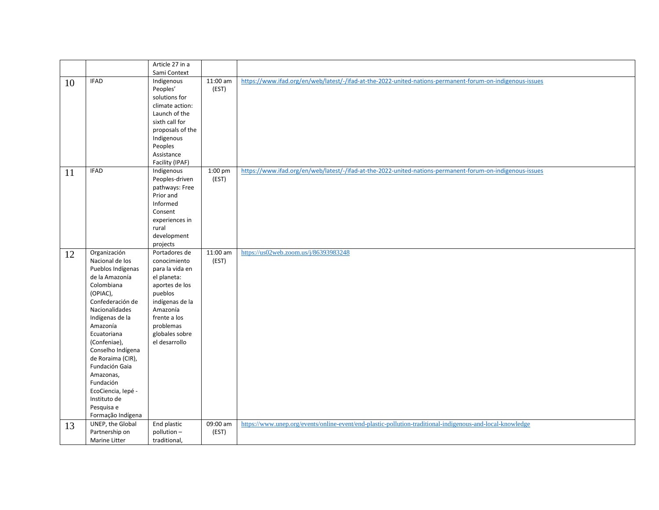|    |                    | Article 27 in a  |          |                                                                                                           |
|----|--------------------|------------------|----------|-----------------------------------------------------------------------------------------------------------|
|    |                    | Sami Context     |          |                                                                                                           |
| 10 | <b>IFAD</b>        | Indigenous       | 11:00 am | https://www.ifad.org/en/web/latest/-/ifad-at-the-2022-united-nations-permanent-forum-on-indigenous-issues |
|    |                    | Peoples'         | (EST)    |                                                                                                           |
|    |                    | solutions for    |          |                                                                                                           |
|    |                    | climate action:  |          |                                                                                                           |
|    |                    | Launch of the    |          |                                                                                                           |
|    |                    | sixth call for   |          |                                                                                                           |
|    |                    | proposals of the |          |                                                                                                           |
|    |                    | Indigenous       |          |                                                                                                           |
|    |                    | Peoples          |          |                                                                                                           |
|    |                    | Assistance       |          |                                                                                                           |
|    |                    | Facility (IPAF)  |          |                                                                                                           |
| 11 | <b>IFAD</b>        | Indigenous       | 1:00 pm  | https://www.ifad.org/en/web/latest/-/ifad-at-the-2022-united-nations-permanent-forum-on-indigenous-issues |
|    |                    | Peoples-driven   | (EST)    |                                                                                                           |
|    |                    | pathways: Free   |          |                                                                                                           |
|    |                    | Prior and        |          |                                                                                                           |
|    |                    | Informed         |          |                                                                                                           |
|    |                    | Consent          |          |                                                                                                           |
|    |                    | experiences in   |          |                                                                                                           |
|    |                    | rural            |          |                                                                                                           |
|    |                    | development      |          |                                                                                                           |
|    |                    | projects         |          |                                                                                                           |
| 12 | Organización       | Portadores de    | 11:00 am | https://us02web.zoom.us/j/86393983248                                                                     |
|    | Nacional de los    | conocimiento     | (EST)    |                                                                                                           |
|    | Pueblos Indígenas  | para la vida en  |          |                                                                                                           |
|    | de la Amazonía     | el planeta:      |          |                                                                                                           |
|    | Colombiana         | aportes de los   |          |                                                                                                           |
|    | (OPIAC),           | pueblos          |          |                                                                                                           |
|    | Confederación de   | indígenas de la  |          |                                                                                                           |
|    | Nacionalidades     | Amazonía         |          |                                                                                                           |
|    | Indígenas de la    | frente a los     |          |                                                                                                           |
|    | Amazonía           | problemas        |          |                                                                                                           |
|    | Ecuatoriana        | globales sobre   |          |                                                                                                           |
|    | (Confeniae),       | el desarrollo    |          |                                                                                                           |
|    | Conselho Indígena  |                  |          |                                                                                                           |
|    | de Roraima (CIR),  |                  |          |                                                                                                           |
|    | Fundación Gaia     |                  |          |                                                                                                           |
|    | Amazonas,          |                  |          |                                                                                                           |
|    | Fundación          |                  |          |                                                                                                           |
|    | EcoCiencia, lepé - |                  |          |                                                                                                           |
|    | Instituto de       |                  |          |                                                                                                           |
|    | Pesquisa e         |                  |          |                                                                                                           |
|    | Formação Indígena  |                  |          |                                                                                                           |
| 13 | UNEP, the Global   | End plastic      | 09:00 am | https://www.unep.org/events/online-event/end-plastic-pollution-traditional-indigenous-and-local-knowledge |
|    | Partnership on     | pollution-       | (EST)    |                                                                                                           |
|    | Marine Litter      | traditional,     |          |                                                                                                           |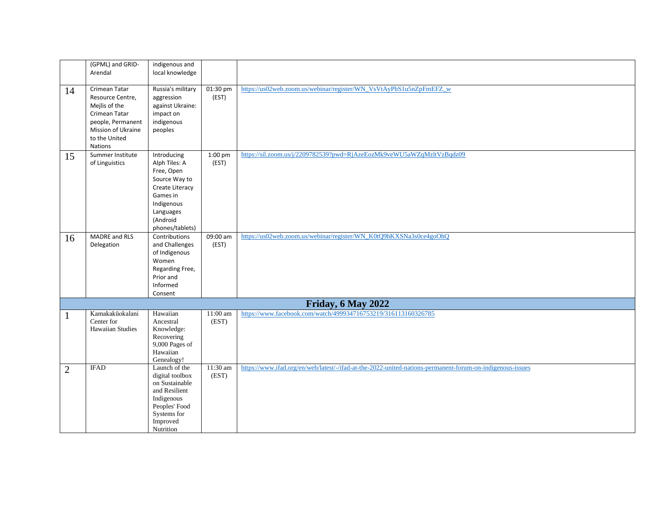|                | (GPML) and GRID-<br>Arendal                                                                                                                       | indigenous and<br>local knowledge                                                                                                                    |                     |                                                                                                           |
|----------------|---------------------------------------------------------------------------------------------------------------------------------------------------|------------------------------------------------------------------------------------------------------------------------------------------------------|---------------------|-----------------------------------------------------------------------------------------------------------|
|                |                                                                                                                                                   |                                                                                                                                                      |                     |                                                                                                           |
| 14             | Crimean Tatar<br>Resource Centre,<br>Mejlis of the<br>Crimean Tatar<br>people, Permanent<br>Mission of Ukraine<br>to the United<br><b>Nations</b> | Russia's military<br>aggression<br>against Ukraine:<br>impact on<br>indigenous<br>peoples                                                            | 01:30 pm<br>(EST)   | https://us02web.zoom.us/webinar/register/WN_VsVtAyPbS1u5nZpFmEFZ_w                                        |
| 15             | Summer Institute<br>of Linguistics                                                                                                                | Introducing<br>Alph Tiles: A<br>Free, Open<br>Source Way to<br>Create Literacy<br>Games in<br>Indigenous<br>Languages<br>(Android<br>phones/tablets) | 1:00 pm<br>(EST)    | https://sil.zoom.us/j/2209782539?pwd=RjAzeEozMk9veWU5aWZqMzltVzBqdz09                                     |
| 16             | MADRE and RLS<br>Delegation                                                                                                                       | Contributions<br>and Challenges<br>of Indigenous<br>Women<br>Regarding Free,<br>Prior and<br>Informed<br>Consent                                     | 09:00 am<br>(EST)   | https://us02web.zoom.us/webinar/register/WN_K0tQ9hKXSNa3s0ce4goOhQ                                        |
|                |                                                                                                                                                   |                                                                                                                                                      |                     | Friday, 6 May 2022                                                                                        |
| $\mathbf{1}$   | Kamakakūokalani<br>Center for<br><b>Hawaiian Studies</b>                                                                                          | Hawaiian<br>Ancestral<br>Knowledge:<br>Recovering<br>9,000 Pages of<br>Hawaiian<br>Genealogy!                                                        | $11:00$ am<br>(EST) | https://www.facebook.com/watch/499934716753219/316113160326785                                            |
| $\overline{2}$ | <b>IFAD</b>                                                                                                                                       | Launch of the<br>digital toolbox<br>on Sustainable<br>and Resilient<br>Indigenous<br>Peoples' Food<br>Systems for<br>Improved<br>Nutrition           | 11:30 am<br>(EST)   | https://www.ifad.org/en/web/latest/-/ifad-at-the-2022-united-nations-permanent-forum-on-indigenous-issues |